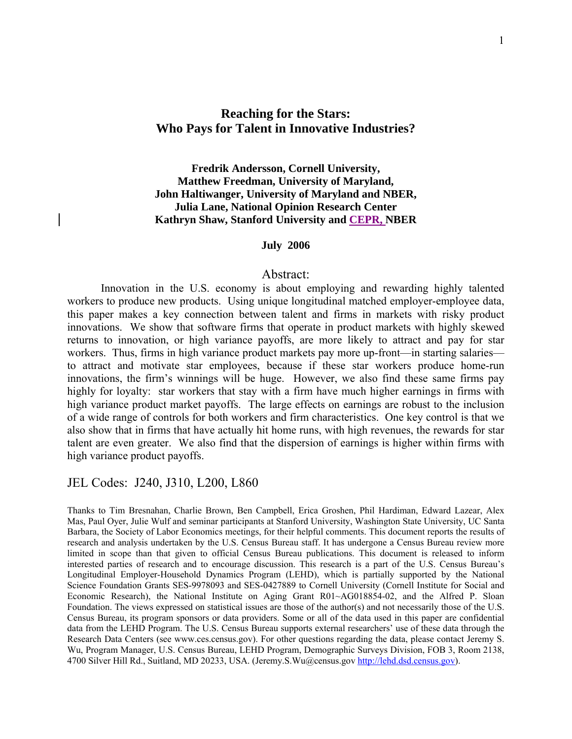## **Reaching for the Stars: Who Pays for Talent in Innovative Industries?**

**Fredrik Andersson, Cornell University, Matthew Freedman, University of Maryland, John Haltiwanger, University of Maryland and NBER, Julia Lane, National Opinion Research Center Kathryn Shaw, Stanford University and CEPR, NBER** 

#### **July 2006**

## Abstract:

Innovation in the U.S. economy is about employing and rewarding highly talented workers to produce new products. Using unique longitudinal matched employer-employee data, this paper makes a key connection between talent and firms in markets with risky product innovations. We show that software firms that operate in product markets with highly skewed returns to innovation, or high variance payoffs, are more likely to attract and pay for star workers. Thus, firms in high variance product markets pay more up-front—in starting salaries to attract and motivate star employees, because if these star workers produce home-run innovations, the firm's winnings will be huge. However, we also find these same firms pay highly for loyalty: star workers that stay with a firm have much higher earnings in firms with high variance product market payoffs. The large effects on earnings are robust to the inclusion of a wide range of controls for both workers and firm characteristics. One key control is that we also show that in firms that have actually hit home runs, with high revenues, the rewards for star talent are even greater. We also find that the dispersion of earnings is higher within firms with high variance product payoffs.

## JEL Codes: J240, J310, L200, L860

Thanks to Tim Bresnahan, Charlie Brown, Ben Campbell, Erica Groshen, Phil Hardiman, Edward Lazear, Alex Mas, Paul Oyer, Julie Wulf and seminar participants at Stanford University, Washington State University, UC Santa Barbara, the Society of Labor Economics meetings, for their helpful comments. This document reports the results of research and analysis undertaken by the U.S. Census Bureau staff. It has undergone a Census Bureau review more limited in scope than that given to official Census Bureau publications. This document is released to inform interested parties of research and to encourage discussion. This research is a part of the U.S. Census Bureau's Longitudinal Employer-Household Dynamics Program (LEHD), which is partially supported by the National Science Foundation Grants SES-9978093 and SES-0427889 to Cornell University (Cornell Institute for Social and Economic Research), the National Institute on Aging Grant R01~AG018854-02, and the Alfred P. Sloan Foundation. The views expressed on statistical issues are those of the author(s) and not necessarily those of the U.S. Census Bureau, its program sponsors or data providers. Some or all of the data used in this paper are confidential data from the LEHD Program. The U.S. Census Bureau supports external researchers' use of these data through the Research Data Centers (see www.ces.census.gov). For other questions regarding the data, please contact Jeremy S. Wu, Program Manager, U.S. Census Bureau, LEHD Program, Demographic Surveys Division, FOB 3, Room 2138, 4700 Silver Hill Rd., Suitland, MD 20233, USA. (Jeremy.S.Wu@census.gov [http://lehd.dsd.census.gov](http://lehd.dsd.census.gov/)).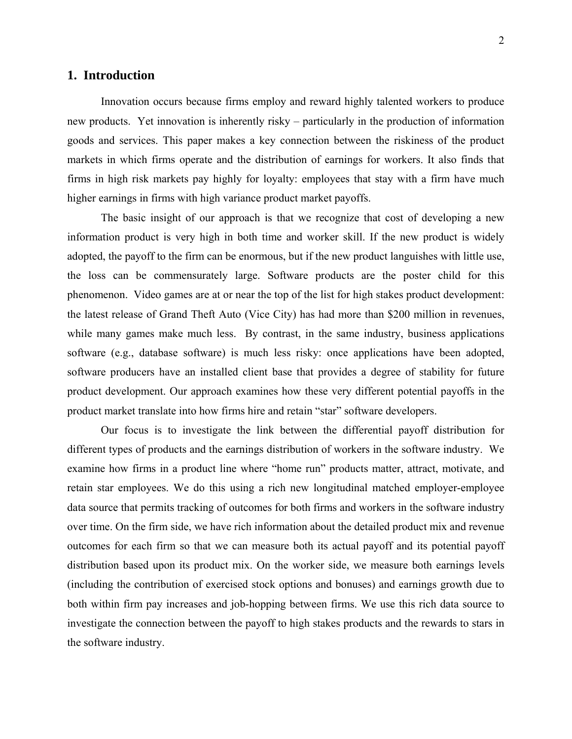## **1. Introduction**

Innovation occurs because firms employ and reward highly talented workers to produce new products. Yet innovation is inherently risky – particularly in the production of information goods and services. This paper makes a key connection between the riskiness of the product markets in which firms operate and the distribution of earnings for workers. It also finds that firms in high risk markets pay highly for loyalty: employees that stay with a firm have much higher earnings in firms with high variance product market payoffs.

The basic insight of our approach is that we recognize that cost of developing a new information product is very high in both time and worker skill. If the new product is widely adopted, the payoff to the firm can be enormous, but if the new product languishes with little use, the loss can be commensurately large. Software products are the poster child for this phenomenon. Video games are at or near the top of the list for high stakes product development: the latest release of Grand Theft Auto (Vice City) has had more than \$200 million in revenues, while many games make much less. By contrast, in the same industry, business applications software (e.g., database software) is much less risky: once applications have been adopted, software producers have an installed client base that provides a degree of stability for future product development. Our approach examines how these very different potential payoffs in the product market translate into how firms hire and retain "star" software developers.

Our focus is to investigate the link between the differential payoff distribution for different types of products and the earnings distribution of workers in the software industry. We examine how firms in a product line where "home run" products matter, attract, motivate, and retain star employees. We do this using a rich new longitudinal matched employer-employee data source that permits tracking of outcomes for both firms and workers in the software industry over time. On the firm side, we have rich information about the detailed product mix and revenue outcomes for each firm so that we can measure both its actual payoff and its potential payoff distribution based upon its product mix. On the worker side, we measure both earnings levels (including the contribution of exercised stock options and bonuses) and earnings growth due to both within firm pay increases and job-hopping between firms. We use this rich data source to investigate the connection between the payoff to high stakes products and the rewards to stars in the software industry.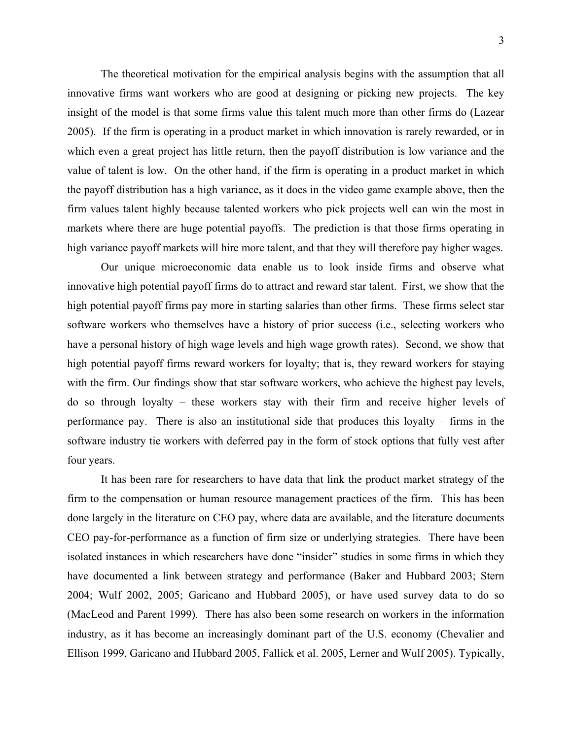The theoretical motivation for the empirical analysis begins with the assumption that all innovative firms want workers who are good at designing or picking new projects. The key insight of the model is that some firms value this talent much more than other firms do (Lazear 2005). If the firm is operating in a product market in which innovation is rarely rewarded, or in which even a great project has little return, then the payoff distribution is low variance and the value of talent is low. On the other hand, if the firm is operating in a product market in which the payoff distribution has a high variance, as it does in the video game example above, then the firm values talent highly because talented workers who pick projects well can win the most in markets where there are huge potential payoffs. The prediction is that those firms operating in high variance payoff markets will hire more talent, and that they will therefore pay higher wages.

Our unique microeconomic data enable us to look inside firms and observe what innovative high potential payoff firms do to attract and reward star talent. First, we show that the high potential payoff firms pay more in starting salaries than other firms. These firms select star software workers who themselves have a history of prior success (i.e., selecting workers who have a personal history of high wage levels and high wage growth rates). Second, we show that high potential payoff firms reward workers for loyalty; that is, they reward workers for staying with the firm. Our findings show that star software workers, who achieve the highest pay levels, do so through loyalty – these workers stay with their firm and receive higher levels of performance pay. There is also an institutional side that produces this loyalty – firms in the software industry tie workers with deferred pay in the form of stock options that fully vest after four years.

It has been rare for researchers to have data that link the product market strategy of the firm to the compensation or human resource management practices of the firm. This has been done largely in the literature on CEO pay, where data are available, and the literature documents CEO pay-for-performance as a function of firm size or underlying strategies. There have been isolated instances in which researchers have done "insider" studies in some firms in which they have documented a link between strategy and performance (Baker and Hubbard 2003; Stern 2004; Wulf 2002, 2005; Garicano and Hubbard 2005), or have used survey data to do so (MacLeod and Parent 1999). There has also been some research on workers in the information industry, as it has become an increasingly dominant part of the U.S. economy (Chevalier and Ellison 1999, Garicano and Hubbard 2005, Fallick et al. 2005, Lerner and Wulf 2005). Typically,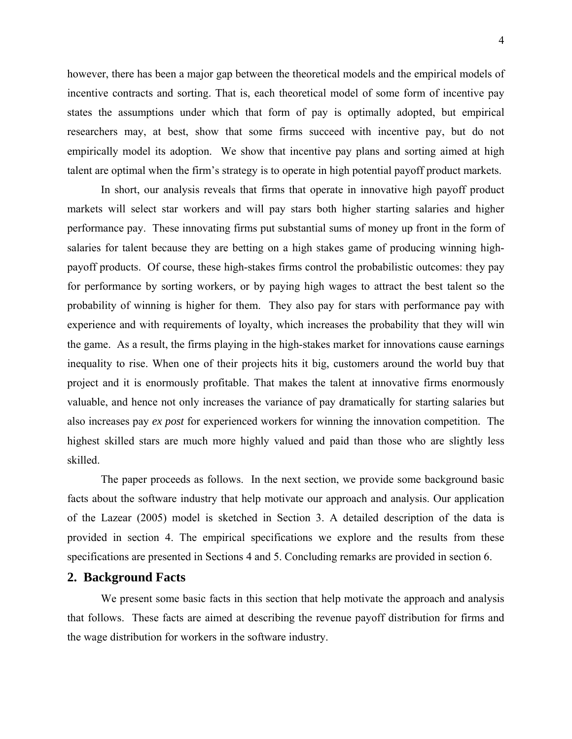however, there has been a major gap between the theoretical models and the empirical models of incentive contracts and sorting. That is, each theoretical model of some form of incentive pay states the assumptions under which that form of pay is optimally adopted, but empirical researchers may, at best, show that some firms succeed with incentive pay, but do not empirically model its adoption. We show that incentive pay plans and sorting aimed at high talent are optimal when the firm's strategy is to operate in high potential payoff product markets.

In short, our analysis reveals that firms that operate in innovative high payoff product markets will select star workers and will pay stars both higher starting salaries and higher performance pay. These innovating firms put substantial sums of money up front in the form of salaries for talent because they are betting on a high stakes game of producing winning highpayoff products. Of course, these high-stakes firms control the probabilistic outcomes: they pay for performance by sorting workers, or by paying high wages to attract the best talent so the probability of winning is higher for them. They also pay for stars with performance pay with experience and with requirements of loyalty, which increases the probability that they will win the game. As a result, the firms playing in the high-stakes market for innovations cause earnings inequality to rise. When one of their projects hits it big, customers around the world buy that project and it is enormously profitable. That makes the talent at innovative firms enormously valuable, and hence not only increases the variance of pay dramatically for starting salaries but also increases pay *ex post* for experienced workers for winning the innovation competition. The highest skilled stars are much more highly valued and paid than those who are slightly less skilled.

The paper proceeds as follows. In the next section, we provide some background basic facts about the software industry that help motivate our approach and analysis. Our application of the Lazear (2005) model is sketched in Section 3. A detailed description of the data is provided in section 4. The empirical specifications we explore and the results from these specifications are presented in Sections 4 and 5. Concluding remarks are provided in section 6.

## **2. Background Facts**

We present some basic facts in this section that help motivate the approach and analysis that follows. These facts are aimed at describing the revenue payoff distribution for firms and the wage distribution for workers in the software industry.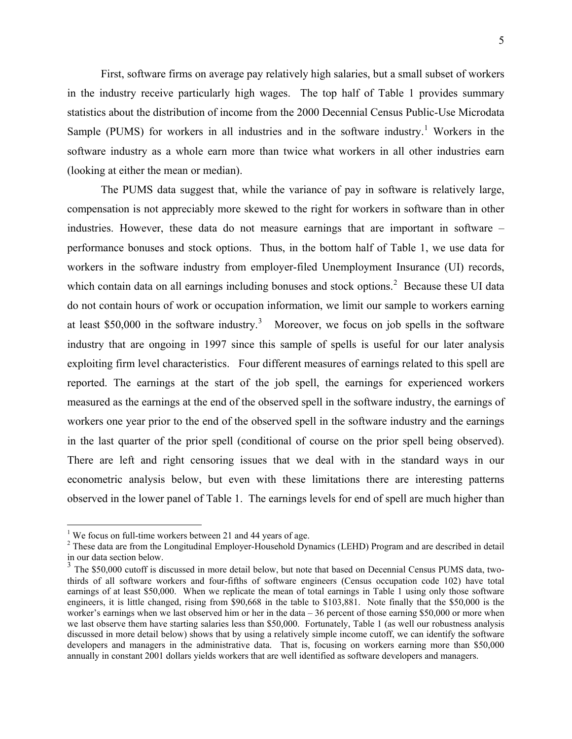5

<span id="page-4-0"></span>First, software firms on average pay relatively high salaries, but a small subset of workers in the industry receive particularly high wages. The top half of Table 1 provides summary statistics about the distribution of income from the 2000 Decennial Census Public-Use Microdata Sample (PUMS) for workers in all industries and in the software industry.<sup>[1](#page-4-0)</sup> Workers in the software industry as a whole earn more than twice what workers in all other industries earn (looking at either the mean or median).

The PUMS data suggest that, while the variance of pay in software is relatively large, compensation is not appreciably more skewed to the right for workers in software than in other industries. However, these data do not measure earnings that are important in software – performance bonuses and stock options. Thus, in the bottom half of Table 1, we use data for workers in the software industry from employer-filed Unemployment Insurance (UI) records, which contain data on all earnings including bonuses and stock options. $2$  Because these UI data do not contain hours of work or occupation information, we limit our sample to workers earning at least \$50,000 in the software industry.<sup>[3](#page-4-0)</sup> Moreover, we focus on job spells in the software industry that are ongoing in 1997 since this sample of spells is useful for our later analysis exploiting firm level characteristics. Four different measures of earnings related to this spell are reported. The earnings at the start of the job spell, the earnings for experienced workers measured as the earnings at the end of the observed spell in the software industry, the earnings of workers one year prior to the end of the observed spell in the software industry and the earnings in the last quarter of the prior spell (conditional of course on the prior spell being observed). There are left and right censoring issues that we deal with in the standard ways in our econometric analysis below, but even with these limitations there are interesting patterns observed in the lower panel of Table 1. The earnings levels for end of spell are much higher than

 $\overline{a}$ 

<sup>&</sup>lt;sup>1</sup> We focus on full-time workers between 21 and 44 years of age.

<sup>&</sup>lt;sup>2</sup> These data are from the Longitudinal Employer-Household Dynamics (LEHD) Program and are described in detail in our data section below.

<sup>&</sup>lt;sup>3</sup> The \$50,000 cutoff is discussed in more detail below, but note that based on Decennial Census PUMS data, twothirds of all software workers and four-fifths of software engineers (Census occupation code 102) have total earnings of at least \$50,000. When we replicate the mean of total earnings in Table 1 using only those software engineers, it is little changed, rising from \$90,668 in the table to \$103,881. Note finally that the \$50,000 is the worker's earnings when we last observed him or her in the data – 36 percent of those earning \$50,000 or more when we last observe them have starting salaries less than \$50,000. Fortunately, Table 1 (as well our robustness analysis discussed in more detail below) shows that by using a relatively simple income cutoff, we can identify the software developers and managers in the administrative data. That is, focusing on workers earning more than \$50,000 annually in constant 2001 dollars yields workers that are well identified as software developers and managers.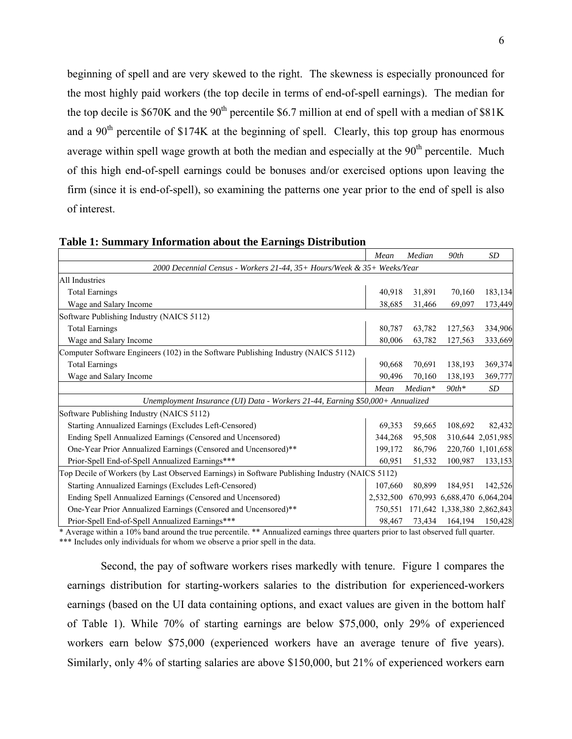beginning of spell and are very skewed to the right. The skewness is especially pronounced for the most highly paid workers (the top decile in terms of end-of-spell earnings). The median for the top decile is  $$670K$  and the  $90<sup>th</sup>$  percentile \$6.7 million at end of spell with a median of \$81K and a  $90<sup>th</sup>$  percentile of \$174K at the beginning of spell. Clearly, this top group has enormous average within spell wage growth at both the median and especially at the  $90<sup>th</sup>$  percentile. Much of this high end-of-spell earnings could be bonuses and/or exercised options upon leaving the firm (since it is end-of-spell), so examining the patterns one year prior to the end of spell is also of interest.

|                                                                                                | Mean      | Median    | 90 <sub>th</sub>            | <b>SD</b>         |  |  |  |
|------------------------------------------------------------------------------------------------|-----------|-----------|-----------------------------|-------------------|--|--|--|
| 2000 Decennial Census - Workers 21-44, 35+ Hours/Week & 35+ Weeks/Year                         |           |           |                             |                   |  |  |  |
| <b>All Industries</b>                                                                          |           |           |                             |                   |  |  |  |
| <b>Total Earnings</b>                                                                          | 40,918    | 31,891    | 70,160                      | 183,134           |  |  |  |
| Wage and Salary Income                                                                         | 38,685    | 31,466    | 69,097                      | 173,449           |  |  |  |
| Software Publishing Industry (NAICS 5112)                                                      |           |           |                             |                   |  |  |  |
| <b>Total Earnings</b>                                                                          | 80,787    | 63,782    | 127,563                     | 334,906           |  |  |  |
| Wage and Salary Income                                                                         | 80,006    | 63,782    | 127,563                     | 333,669           |  |  |  |
| Computer Software Engineers (102) in the Software Publishing Industry (NAICS 5112)             |           |           |                             |                   |  |  |  |
| <b>Total Earnings</b>                                                                          | 90,668    | 70,691    | 138,193                     | 369,374           |  |  |  |
| Wage and Salary Income                                                                         | 90,496    | 70,160    | 138,193                     | 369,777           |  |  |  |
|                                                                                                | Mean      | $Median*$ | $90th*$                     | <b>SD</b>         |  |  |  |
| Unemployment Insurance (UI) Data - Workers 21-44, Earning \$50,000+ Annualized                 |           |           |                             |                   |  |  |  |
| Software Publishing Industry (NAICS 5112)                                                      |           |           |                             |                   |  |  |  |
| Starting Annualized Earnings (Excludes Left-Censored)                                          | 69,353    | 59,665    | 108,692                     | 82,432            |  |  |  |
| Ending Spell Annualized Earnings (Censored and Uncensored)                                     | 344,268   | 95,508    |                             | 310,644 2,051,985 |  |  |  |
| One-Year Prior Annualized Earnings (Censored and Uncensored)**                                 | 199,172   | 86,796    |                             | 220,760 1,101,658 |  |  |  |
| Prior-Spell End-of-Spell Annualized Earnings***                                                | 60,951    | 51,532    | 100,987                     | 133,153           |  |  |  |
| Top Decile of Workers (by Last Observed Earnings) in Software Publishing Industry (NAICS 5112) |           |           |                             |                   |  |  |  |
| Starting Annualized Earnings (Excludes Left-Censored)                                          | 107,660   | 80,899    | 184,951                     | 142,526           |  |  |  |
| Ending Spell Annualized Earnings (Censored and Uncensored)                                     | 2,532,500 |           | 670,993 6,688,470 6,064,204 |                   |  |  |  |
| One-Year Prior Annualized Earnings (Censored and Uncensored)**                                 | 750,551   |           | 171,642 1,338,380 2,862,843 |                   |  |  |  |
| Prior-Spell End-of-Spell Annualized Earnings***                                                | 98,467    |           | 73,434 164,194              | 150,428           |  |  |  |

**Table 1: Summary Information about the Earnings Distribution** 

\* Average within a 10% band around the true percentile. \*\* Annualized earnings three quarters prior to last observed full quarter.

\*\*\* Includes only individuals for whom we observe a prior spell in the data.

Second, the pay of software workers rises markedly with tenure. Figure 1 compares the earnings distribution for starting-workers salaries to the distribution for experienced-workers earnings (based on the UI data containing options, and exact values are given in the bottom half of Table 1). While 70% of starting earnings are below \$75,000, only 29% of experienced workers earn below \$75,000 (experienced workers have an average tenure of five years). Similarly, only 4% of starting salaries are above \$150,000, but 21% of experienced workers earn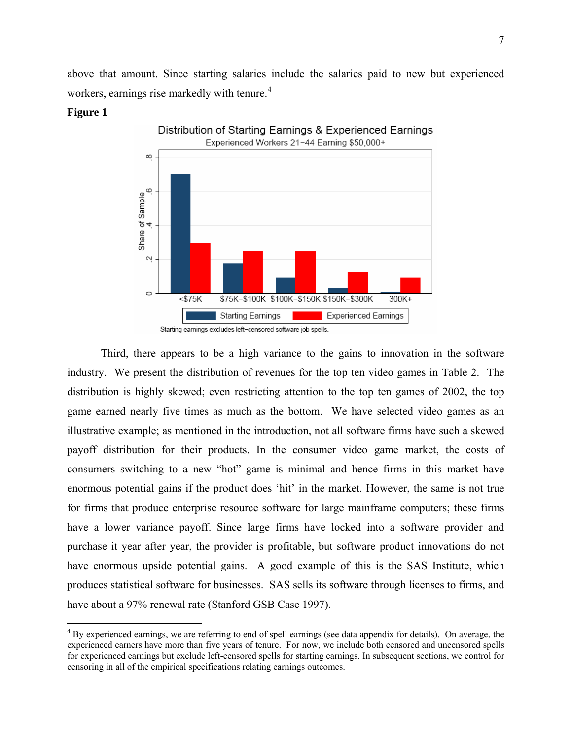<span id="page-6-0"></span>above that amount. Since starting salaries include the salaries paid to new but experienced workers, earnings rise markedly with tenure.<sup>[4](#page-6-0)</sup>

#### **Figure 1**

 $\overline{a}$ 



Third, there appears to be a high variance to the gains to innovation in the software industry. We present the distribution of revenues for the top ten video games in Table 2. The distribution is highly skewed; even restricting attention to the top ten games of 2002, the top game earned nearly five times as much as the bottom. We have selected video games as an illustrative example; as mentioned in the introduction, not all software firms have such a skewed payoff distribution for their products. In the consumer video game market, the costs of consumers switching to a new "hot" game is minimal and hence firms in this market have enormous potential gains if the product does 'hit' in the market. However, the same is not true for firms that produce enterprise resource software for large mainframe computers; these firms have a lower variance payoff. Since large firms have locked into a software provider and purchase it year after year, the provider is profitable, but software product innovations do not have enormous upside potential gains. A good example of this is the SAS Institute, which produces statistical software for businesses. SAS sells its software through licenses to firms, and have about a 97% renewal rate (Stanford GSB Case 1997).

 $4 By$  experienced earnings, we are referring to end of spell earnings (see data appendix for details). On average, the experienced earners have more than five years of tenure. For now, we include both censored and uncensored spells for experienced earnings but exclude left-censored spells for starting earnings. In subsequent sections, we control for censoring in all of the empirical specifications relating earnings outcomes.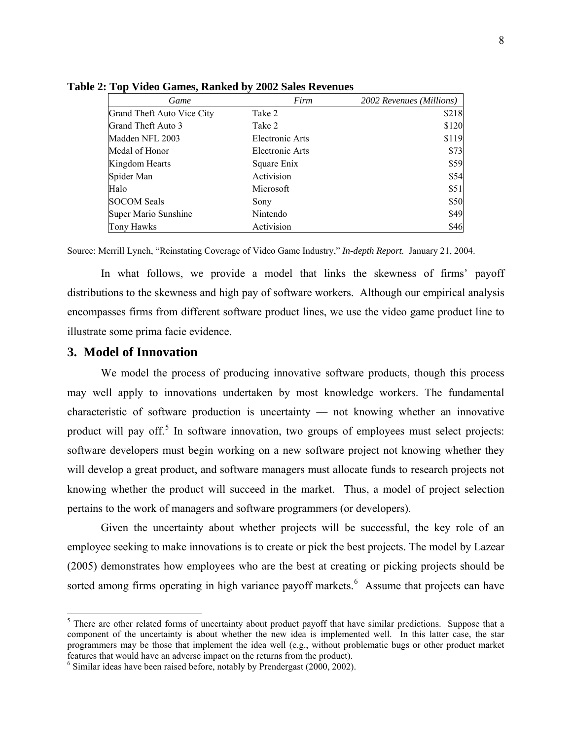| Game                       | Firm                   | 2002 Revenues (Millions) |
|----------------------------|------------------------|--------------------------|
| Grand Theft Auto Vice City | Take 2                 | \$218                    |
| Grand Theft Auto 3         | Take 2                 | \$120                    |
| Madden NFL 2003            | <b>Electronic Arts</b> | \$119                    |
| Medal of Honor             | Electronic Arts        | \$73                     |
| Kingdom Hearts             | Square Enix            | \$59                     |
| Spider Man                 | Activision             | \$54                     |
| Halo                       | Microsoft              | \$51                     |
| <b>SOCOM Seals</b>         | Sony                   | \$50                     |
| Super Mario Sunshine       | Nintendo               | \$49                     |
| Tony Hawks                 | Activision             | \$46                     |

<span id="page-7-0"></span>**Table 2: Top Video Games, Ranked by 2002 Sales Revenues**

Source: Merrill Lynch, "Reinstating Coverage of Video Game Industry," *In-depth Report.* January 21, 2004.

In what follows, we provide a model that links the skewness of firms' payoff distributions to the skewness and high pay of software workers. Although our empirical analysis encompasses firms from different software product lines, we use the video game product line to illustrate some prima facie evidence.

## **3. Model of Innovation**

We model the process of producing innovative software products, though this process may well apply to innovations undertaken by most knowledge workers. The fundamental characteristic of software production is uncertainty — not knowing whether an innovative product will pay off.<sup>[5](#page-7-0)</sup> In software innovation, two groups of employees must select projects: software developers must begin working on a new software project not knowing whether they will develop a great product, and software managers must allocate funds to research projects not knowing whether the product will succeed in the market. Thus, a model of project selection pertains to the work of managers and software programmers (or developers).

Given the uncertainty about whether projects will be successful, the key role of an employee seeking to make innovations is to create or pick the best projects. The model by Lazear (2005) demonstrates how employees who are the best at creating or picking projects should be sorted among firms operating in high variance payoff markets. $6$  Assume that projects can have

<sup>&</sup>lt;sup>5</sup> There are other related forms of uncertainty about product payoff that have similar predictions. Suppose that a component of the uncertainty is about whether the new idea is implemented well. In this latter case, the star programmers may be those that implement the idea well (e.g., without problematic bugs or other product market features that would have an adverse impact on the returns from the product).

 $6$  Similar ideas have been raised before, notably by Prendergast (2000, 2002).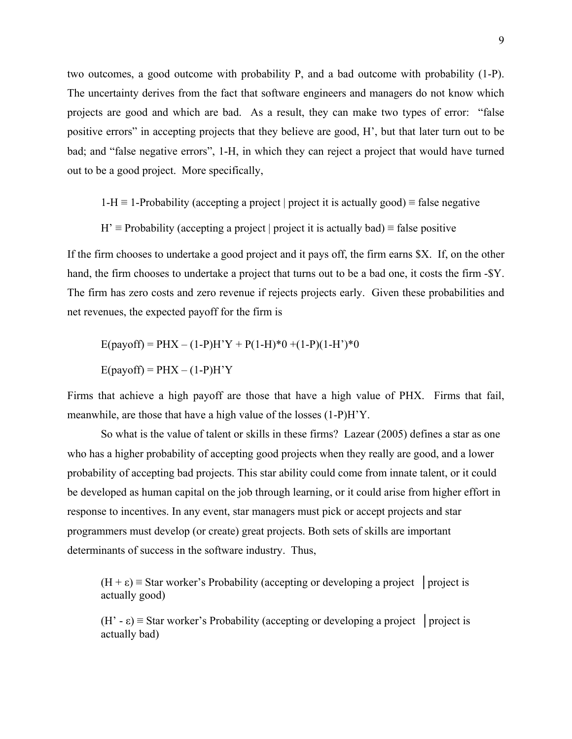two outcomes, a good outcome with probability P, and a bad outcome with probability (1-P). The uncertainty derives from the fact that software engineers and managers do not know which projects are good and which are bad. As a result, they can make two types of error: "false positive errors" in accepting projects that they believe are good, H', but that later turn out to be bad; and "false negative errors", 1-H, in which they can reject a project that would have turned out to be a good project. More specifically,

 $1-H \equiv 1$ -Probability (accepting a project | project it is actually good)  $\equiv$  false negative

 $H' \equiv$  Probability (accepting a project | project it is actually bad)  $\equiv$  false positive

If the firm chooses to undertake a good project and it pays off, the firm earns \$X. If, on the other hand, the firm chooses to undertake a project that turns out to be a bad one, it costs the firm -\$Y. The firm has zero costs and zero revenue if rejects projects early. Given these probabilities and net revenues, the expected payoff for the firm is

$$
E(payoff) = PHX - (1-P)H'Y + P(1-H)*0 + (1-P)(1-H')*0
$$

$$
E(payoff) = PHX - (1-P)H'Y
$$

Firms that achieve a high payoff are those that have a high value of PHX. Firms that fail, meanwhile, are those that have a high value of the losses (1-P)H'Y.

So what is the value of talent or skills in these firms? Lazear (2005) defines a star as one who has a higher probability of accepting good projects when they really are good, and a lower probability of accepting bad projects. This star ability could come from innate talent, or it could be developed as human capital on the job through learning, or it could arise from higher effort in response to incentives. In any event, star managers must pick or accept projects and star programmers must develop (or create) great projects. Both sets of skills are important determinants of success in the software industry. Thus,

 $(H + \varepsilon)$  = Star worker's Probability (accepting or developing a project | project is actually good)

(H' -  $\varepsilon$ ) = Star worker's Probability (accepting or developing a project | project is actually bad)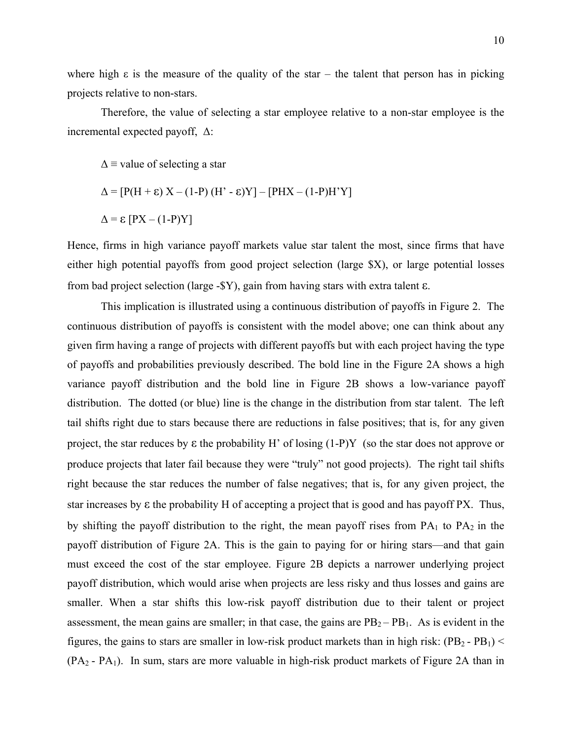where high  $\varepsilon$  is the measure of the quality of the star – the talent that person has in picking projects relative to non-stars.

Therefore, the value of selecting a star employee relative to a non-star employee is the incremental expected payoff, Δ:

 $\Delta$  = value of selecting a star

$$
\Delta = [P(H + \varepsilon) X - (1-P) (H' - \varepsilon)Y] - [PHX - (1-P)H'Y]
$$

$$
\Delta = \varepsilon [PX - (1-P)Y]
$$

Hence, firms in high variance payoff markets value star talent the most, since firms that have either high potential payoffs from good project selection (large \$X), or large potential losses from bad project selection (large -\$Y), gain from having stars with extra talent ε.

This implication is illustrated using a continuous distribution of payoffs in Figure 2. The continuous distribution of payoffs is consistent with the model above; one can think about any given firm having a range of projects with different payoffs but with each project having the type of payoffs and probabilities previously described. The bold line in the Figure 2A shows a high variance payoff distribution and the bold line in Figure 2B shows a low-variance payoff distribution. The dotted (or blue) line is the change in the distribution from star talent. The left tail shifts right due to stars because there are reductions in false positives; that is, for any given project, the star reduces by  $\varepsilon$  the probability H' of losing  $(1-P)Y$  (so the star does not approve or produce projects that later fail because they were "truly" not good projects). The right tail shifts right because the star reduces the number of false negatives; that is, for any given project, the star increases by ε the probability H of accepting a project that is good and has payoff PX. Thus, by shifting the payoff distribution to the right, the mean payoff rises from  $PA_1$  to  $PA_2$  in the payoff distribution of Figure 2A. This is the gain to paying for or hiring stars—and that gain must exceed the cost of the star employee. Figure 2B depicts a narrower underlying project payoff distribution, which would arise when projects are less risky and thus losses and gains are smaller. When a star shifts this low-risk payoff distribution due to their talent or project assessment, the mean gains are smaller; in that case, the gains are  $PB<sub>2</sub> - PB<sub>1</sub>$ . As is evident in the figures, the gains to stars are smaller in low-risk product markets than in high risk:  $(PB_2 - PB_1)$  <  $(PA<sub>2</sub> - PA<sub>1</sub>)$ . In sum, stars are more valuable in high-risk product markets of Figure 2A than in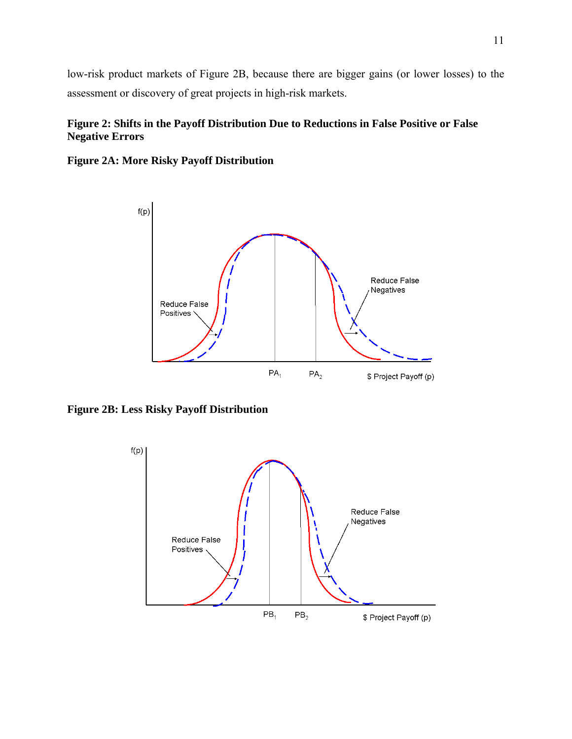low-risk product markets of Figure 2B, because there are bigger gains (or lower losses) to the assessment or discovery of great projects in high-risk markets.

## **Figure 2: Shifts in the Payoff Distribution Due to Reductions in False Positive or False Negative Errors**



**Figure 2A: More Risky Payoff Distribution**

**Figure 2B: Less Risky Payoff Distribution** 

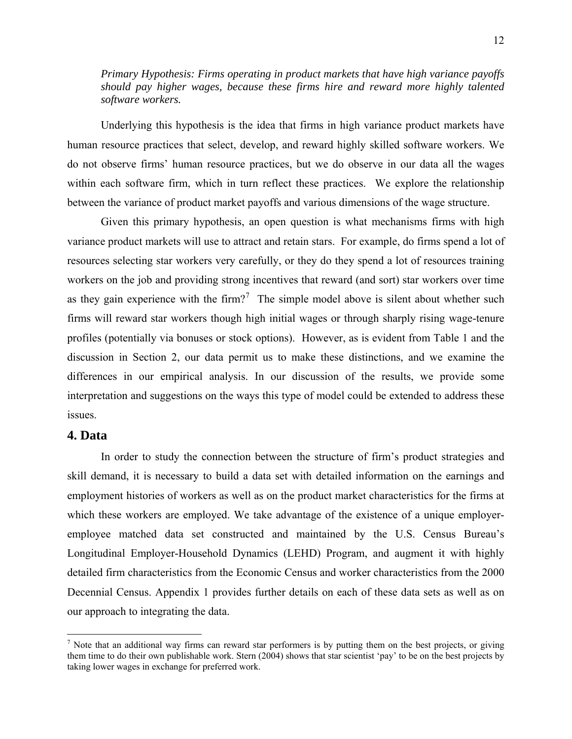<span id="page-11-0"></span>*Primary Hypothesis: Firms operating in product markets that have high variance payoffs should pay higher wages, because these firms hire and reward more highly talented software workers.* 

Underlying this hypothesis is the idea that firms in high variance product markets have human resource practices that select, develop, and reward highly skilled software workers. We do not observe firms' human resource practices, but we do observe in our data all the wages within each software firm, which in turn reflect these practices. We explore the relationship between the variance of product market payoffs and various dimensions of the wage structure.

Given this primary hypothesis, an open question is what mechanisms firms with high variance product markets will use to attract and retain stars. For example, do firms spend a lot of resources selecting star workers very carefully, or they do they spend a lot of resources training workers on the job and providing strong incentives that reward (and sort) star workers over time as they gain experience with the firm?<sup>[7](#page-11-0)</sup> The simple model above is silent about whether such firms will reward star workers though high initial wages or through sharply rising wage-tenure profiles (potentially via bonuses or stock options). However, as is evident from Table 1 and the discussion in Section 2, our data permit us to make these distinctions, and we examine the differences in our empirical analysis. In our discussion of the results, we provide some interpretation and suggestions on the ways this type of model could be extended to address these issues.

## **4. Data**

 $\overline{a}$ 

In order to study the connection between the structure of firm's product strategies and skill demand, it is necessary to build a data set with detailed information on the earnings and employment histories of workers as well as on the product market characteristics for the firms at which these workers are employed. We take advantage of the existence of a unique employeremployee matched data set constructed and maintained by the U.S. Census Bureau's Longitudinal Employer-Household Dynamics (LEHD) Program, and augment it with highly detailed firm characteristics from the Economic Census and worker characteristics from the 2000 Decennial Census. Appendix 1 provides further details on each of these data sets as well as on our approach to integrating the data.

<sup>&</sup>lt;sup>7</sup> Note that an additional way firms can reward star performers is by putting them on the best projects, or giving them time to do their own publishable work. Stern (2004) shows that star scientist 'pay' to be on the best projects by taking lower wages in exchange for preferred work.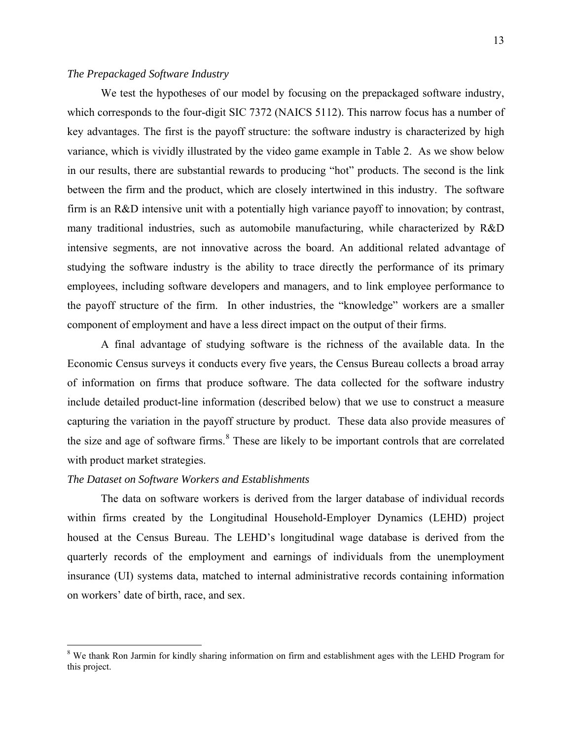## <span id="page-12-0"></span>*The Prepackaged Software Industry*

We test the hypotheses of our model by focusing on the prepackaged software industry, which corresponds to the four-digit SIC 7372 (NAICS 5112). This narrow focus has a number of key advantages. The first is the payoff structure: the software industry is characterized by high variance, which is vividly illustrated by the video game example in Table 2. As we show below in our results, there are substantial rewards to producing "hot" products. The second is the link between the firm and the product, which are closely intertwined in this industry. The software firm is an R&D intensive unit with a potentially high variance payoff to innovation; by contrast, many traditional industries, such as automobile manufacturing, while characterized by R&D intensive segments, are not innovative across the board. An additional related advantage of studying the software industry is the ability to trace directly the performance of its primary employees, including software developers and managers, and to link employee performance to the payoff structure of the firm. In other industries, the "knowledge" workers are a smaller component of employment and have a less direct impact on the output of their firms.

 A final advantage of studying software is the richness of the available data. In the Economic Census surveys it conducts every five years, the Census Bureau collects a broad array of information on firms that produce software. The data collected for the software industry include detailed product-line information (described below) that we use to construct a measure capturing the variation in the payoff structure by product. These data also provide measures of the size and age of software firms.<sup>[8](#page-12-0)</sup> These are likely to be important controls that are correlated with product market strategies.

## *The Dataset on Software Workers and Establishments*

 $\overline{a}$ 

The data on software workers is derived from the larger database of individual records within firms created by the Longitudinal Household-Employer Dynamics (LEHD) project housed at the Census Bureau. The LEHD's longitudinal wage database is derived from the quarterly records of the employment and earnings of individuals from the unemployment insurance (UI) systems data, matched to internal administrative records containing information on workers' date of birth, race, and sex.

<sup>&</sup>lt;sup>8</sup> We thank Ron Jarmin for kindly sharing information on firm and establishment ages with the LEHD Program for this project.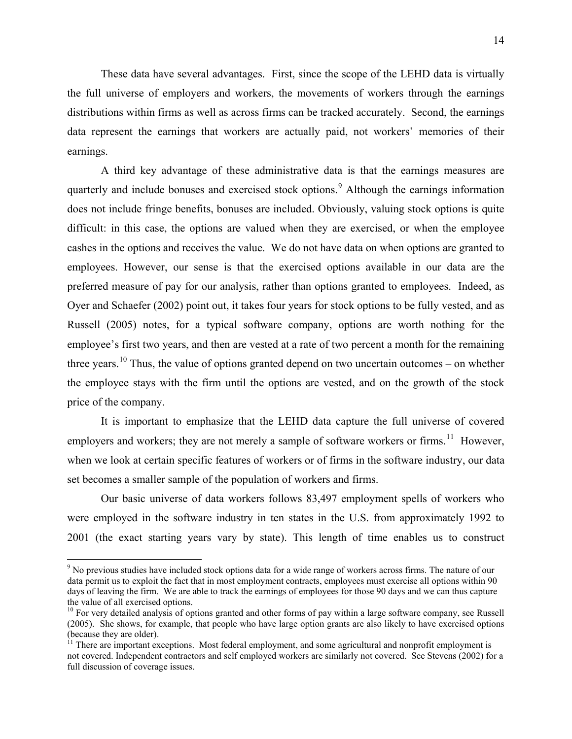<span id="page-13-0"></span>These data have several advantages. First, since the scope of the LEHD data is virtually the full universe of employers and workers, the movements of workers through the earnings distributions within firms as well as across firms can be tracked accurately. Second, the earnings data represent the earnings that workers are actually paid, not workers' memories of their earnings.

A third key advantage of these administrative data is that the earnings measures are quarterly and include bonuses and exercised stock options.<sup>[9](#page-13-0)</sup> Although the earnings information does not include fringe benefits, bonuses are included. Obviously, valuing stock options is quite difficult: in this case, the options are valued when they are exercised, or when the employee cashes in the options and receives the value. We do not have data on when options are granted to employees. However, our sense is that the exercised options available in our data are the preferred measure of pay for our analysis, rather than options granted to employees. Indeed, as Oyer and Schaefer (2002) point out, it takes four years for stock options to be fully vested, and as Russell (2005) notes, for a typical software company, options are worth nothing for the employee's first two years, and then are vested at a rate of two percent a month for the remaining three years.<sup>[10](#page-13-0)</sup> Thus, the value of options granted depend on two uncertain outcomes – on whether the employee stays with the firm until the options are vested, and on the growth of the stock price of the company.

It is important to emphasize that the LEHD data capture the full universe of covered employers and workers; they are not merely a sample of software workers or firms.<sup>[1](#page-13-0)1</sup> However, when we look at certain specific features of workers or of firms in the software industry, our data set becomes a smaller sample of the population of workers and firms.

 Our basic universe of data workers follows 83,497 employment spells of workers who were employed in the software industry in ten states in the U.S. from approximately 1992 to 2001 (the exact starting years vary by state). This length of time enables us to construct

 $\overline{a}$ 

<sup>&</sup>lt;sup>9</sup> No previous studies have included stock options data for a wide range of workers across firms. The nature of our data permit us to exploit the fact that in most employment contracts, employees must exercise all options within 90 days of leaving the firm. We are able to track the earnings of employees for those 90 days and we can thus capture the value of all exercised options.

 $10$  For very detailed analysis of options granted and other forms of pay within a large software company, see Russell (2005). She shows, for example, that people who have large option grants are also likely to have exercised options (because they are older).

 $11$  There are important exceptions. Most federal employment, and some agricultural and nonprofit employment is not covered. Independent contractors and self employed workers are similarly not covered. See Stevens (2002) for a full discussion of coverage issues.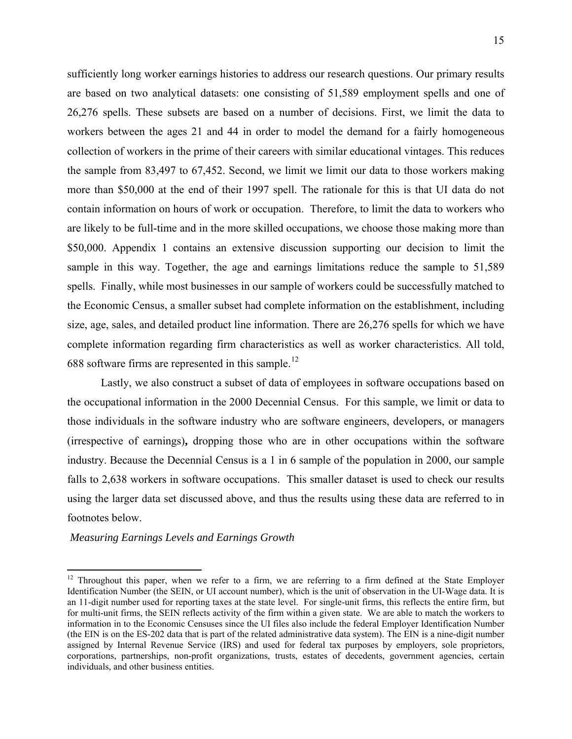<span id="page-14-0"></span>sufficiently long worker earnings histories to address our research questions. Our primary results are based on two analytical datasets: one consisting of 51,589 employment spells and one of 26,276 spells. These subsets are based on a number of decisions. First, we limit the data to workers between the ages 21 and 44 in order to model the demand for a fairly homogeneous collection of workers in the prime of their careers with similar educational vintages. This reduces the sample from 83,497 to 67,452. Second, we limit we limit our data to those workers making more than \$50,000 at the end of their 1997 spell. The rationale for this is that UI data do not contain information on hours of work or occupation. Therefore, to limit the data to workers who are likely to be full-time and in the more skilled occupations, we choose those making more than \$50,000. Appendix 1 contains an extensive discussion supporting our decision to limit the sample in this way. Together, the age and earnings limitations reduce the sample to 51,589 spells. Finally, while most businesses in our sample of workers could be successfully matched to the Economic Census, a smaller subset had complete information on the establishment, including size, age, sales, and detailed product line information. There are 26,276 spells for which we have complete information regarding firm characteristics as well as worker characteristics. All told, 688 software firms are represented in this sample.<sup>[12](#page-14-0)</sup>

 Lastly, we also construct a subset of data of employees in software occupations based on the occupational information in the 2000 Decennial Census. For this sample, we limit or data to those individuals in the software industry who are software engineers, developers, or managers (irrespective of earnings)**,** dropping those who are in other occupations within the software industry. Because the Decennial Census is a 1 in 6 sample of the population in 2000, our sample falls to 2,638 workers in software occupations. This smaller dataset is used to check our results using the larger data set discussed above, and thus the results using these data are referred to in footnotes below.

#### *Measuring Earnings Levels and Earnings Growth*

 $\overline{a}$ 

<sup>&</sup>lt;sup>12</sup> Throughout this paper, when we refer to a firm, we are referring to a firm defined at the State Employer Identification Number (the SEIN, or UI account number), which is the unit of observation in the UI-Wage data. It is an 11-digit number used for reporting taxes at the state level. For single-unit firms, this reflects the entire firm, but for multi-unit firms, the SEIN reflects activity of the firm within a given state. We are able to match the workers to information in to the Economic Censuses since the UI files also include the federal Employer Identification Number (the EIN is on the ES-202 data that is part of the related administrative data system). The EIN is a nine-digit number assigned by Internal Revenue Service (IRS) and used for federal tax purposes by employers, sole proprietors, corporations, partnerships, non-profit organizations, trusts, estates of decedents, government agencies, certain individuals, and other business entities.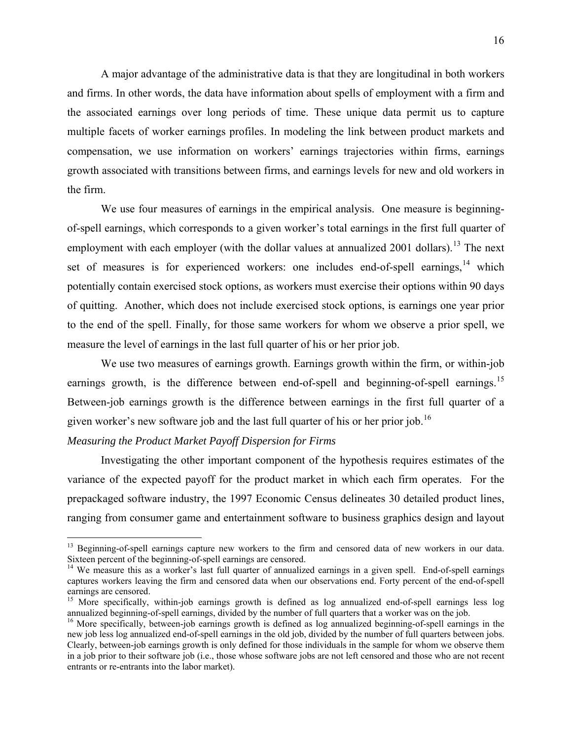<span id="page-15-0"></span> A major advantage of the administrative data is that they are longitudinal in both workers and firms. In other words, the data have information about spells of employment with a firm and the associated earnings over long periods of time. These unique data permit us to capture multiple facets of worker earnings profiles. In modeling the link between product markets and compensation, we use information on workers' earnings trajectories within firms, earnings growth associated with transitions between firms, and earnings levels for new and old workers in the firm.

 We use four measures of earnings in the empirical analysis. One measure is beginningof-spell earnings, which corresponds to a given worker's total earnings in the first full quarter of employment with each employer (with the dollar values at annualized 200[1](#page-15-0) dollars).<sup>13</sup> The next set of measures is for experienced workers: one includes end-of-spell earnings,<sup>[1](#page-15-0)4</sup> which potentially contain exercised stock options, as workers must exercise their options within 90 days of quitting. Another, which does not include exercised stock options, is earnings one year prior to the end of the spell. Finally, for those same workers for whom we observe a prior spell, we measure the level of earnings in the last full quarter of his or her prior job.

 We use two measures of earnings growth. Earnings growth within the firm, or within-job earnings growth, is the difference between end-of-spell and beginning-of-spell earnings.<sup>[15](#page-15-0)</sup> Between-job earnings growth is the difference between earnings in the first full quarter of a given worker's new software job and the last full quarter of his or her prior job.<sup>[16](#page-15-0)</sup>

## *Measuring the Product Market Payoff Dispersion for Firms*

 $\overline{a}$ 

Investigating the other important component of the hypothesis requires estimates of the variance of the expected payoff for the product market in which each firm operates. For the prepackaged software industry, the 1997 Economic Census delineates 30 detailed product lines, ranging from consumer game and entertainment software to business graphics design and layout

<sup>&</sup>lt;sup>13</sup> Beginning-of-spell earnings capture new workers to the firm and censored data of new workers in our data. Sixteen percent of the beginning-of-spell earnings are censored.

<sup>&</sup>lt;sup>14</sup> We measure this as a worker's last full quarter of annualized earnings in a given spell. End-of-spell earnings captures workers leaving the firm and censored data when our observations end. Forty percent of the end-of-spell earnings are censored.

<sup>&</sup>lt;sup>15</sup> More specifically, within-job earnings growth is defined as log annualized end-of-spell earnings less log annualized beginning-of-spell earnings, divided by the number of full quarters that a worker was on the job.

<sup>&</sup>lt;sup>16</sup> More specifically, between-job earnings growth is defined as log annualized beginning-of-spell earnings in the new job less log annualized end-of-spell earnings in the old job, divided by the number of full quarters between jobs. Clearly, between-job earnings growth is only defined for those individuals in the sample for whom we observe them in a job prior to their software job (i.e., those whose software jobs are not left censored and those who are not recent entrants or re-entrants into the labor market).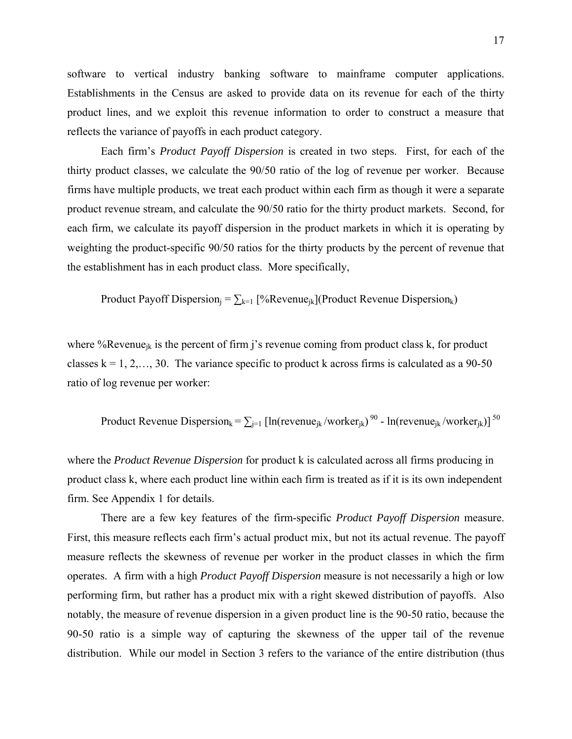software to vertical industry banking software to mainframe computer applications. Establishments in the Census are asked to provide data on its revenue for each of the thirty product lines, and we exploit this revenue information to order to construct a measure that reflects the variance of payoffs in each product category.

Each firm's *Product Payoff Dispersion* is created in two steps. First, for each of the thirty product classes, we calculate the 90/50 ratio of the log of revenue per worker. Because firms have multiple products, we treat each product within each firm as though it were a separate product revenue stream, and calculate the 90/50 ratio for the thirty product markets. Second, for each firm, we calculate its payoff dispersion in the product markets in which it is operating by weighting the product-specific 90/50 ratios for the thirty products by the percent of revenue that the establishment has in each product class. More specifically,

Product Payoff Dispersion<sub>j</sub> =  $\sum_{k=1}$  [%Revenue<sub>jk</sub>](Product Revenue Dispersion<sub>k</sub>)

where %Revenue<sub>ik</sub> is the percent of firm j's revenue coming from product class k, for product classes  $k = 1, 2, \ldots, 30$ . The variance specific to product k across firms is calculated as a 90-50 ratio of log revenue per worker:

Product Revenue Dispersion<sub>k</sub> =  $\sum_{j=1}$  [ln(revenue<sub>jk</sub>/worker<sub>jk</sub>)<sup>90</sup> - ln(revenue<sub>jk</sub>/worker<sub>jk</sub>)]<sup>50</sup>

where the *Product Revenue Dispersion* for product k is calculated across all firms producing in product class k, where each product line within each firm is treated as if it is its own independent firm. See Appendix 1 for details.

There are a few key features of the firm-specific *Product Payoff Dispersion* measure. First, this measure reflects each firm's actual product mix, but not its actual revenue. The payoff measure reflects the skewness of revenue per worker in the product classes in which the firm operates. A firm with a high *Product Payoff Dispersion* measure is not necessarily a high or low performing firm, but rather has a product mix with a right skewed distribution of payoffs. Also notably, the measure of revenue dispersion in a given product line is the 90-50 ratio, because the 90-50 ratio is a simple way of capturing the skewness of the upper tail of the revenue distribution. While our model in Section 3 refers to the variance of the entire distribution (thus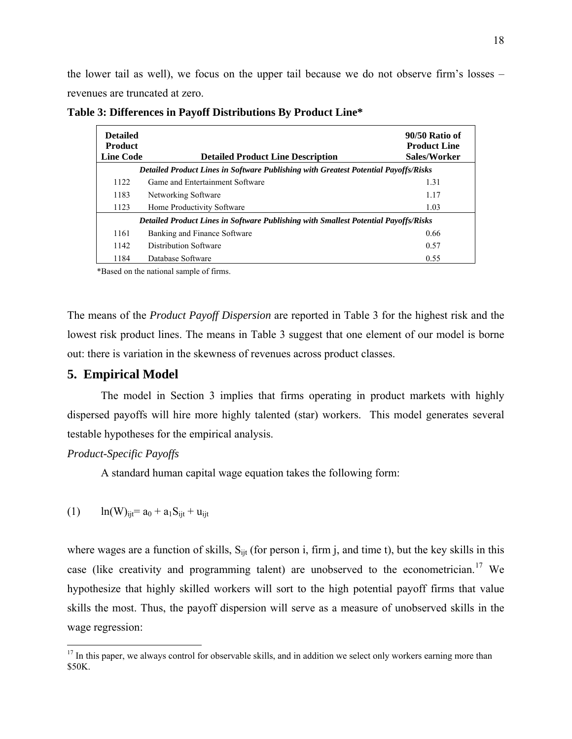<span id="page-17-0"></span>the lower tail as well), we focus on the upper tail because we do not observe firm's losses – revenues are truncated at zero.

| <b>Detailed</b><br><b>Product</b><br><b>Line Code</b> | <b>Detailed Product Line Description</b>                                                   | 90/50 Ratio of<br><b>Product Line</b><br>Sales/Worker |
|-------------------------------------------------------|--------------------------------------------------------------------------------------------|-------------------------------------------------------|
|                                                       | Detailed Product Lines in Software Publishing with Greatest Potential Payoffs/Risks        |                                                       |
| 1122                                                  | Game and Entertainment Software                                                            | 1.31                                                  |
| 1183                                                  | Networking Software                                                                        | 1.17                                                  |
| 1123                                                  | Home Productivity Software                                                                 | 1.03                                                  |
|                                                       | <b>Detailed Product Lines in Software Publishing with Smallest Potential Payoffs/Risks</b> |                                                       |
| 1161                                                  | Banking and Finance Software                                                               | 0.66                                                  |
| 1142                                                  | Distribution Software                                                                      | 0.57                                                  |
| 1184                                                  | Database Software                                                                          | 0.55                                                  |

**Table 3: Differences in Payoff Distributions By Product Line\***

\*Based on the national sample of firms.

The means of the *Product Payoff Dispersion* are reported in Table 3 for the highest risk and the lowest risk product lines. The means in Table 3 suggest that one element of our model is borne out: there is variation in the skewness of revenues across product classes.

## **5. Empirical Model**

The model in Section 3 implies that firms operating in product markets with highly dispersed payoffs will hire more highly talented (star) workers. This model generates several testable hypotheses for the empirical analysis.

#### *Product-Specific Payoffs*

 $\overline{a}$ 

A standard human capital wage equation takes the following form:

(1) 
$$
\ln(W)_{ijt} = a_0 + a_1 S_{ijt} + u_{ijt}
$$

where wages are a function of skills,  $S_{\text{lit}}$  (for person i, firm j, and time t), but the key skills in this case (like creativity and programming talent) are unobserved to the econometrician.<sup>[17](#page-17-0)</sup> We hypothesize that highly skilled workers will sort to the high potential payoff firms that value skills the most. Thus, the payoff dispersion will serve as a measure of unobserved skills in the wage regression:

 $17$  In this paper, we always control for observable skills, and in addition we select only workers earning more than \$50K.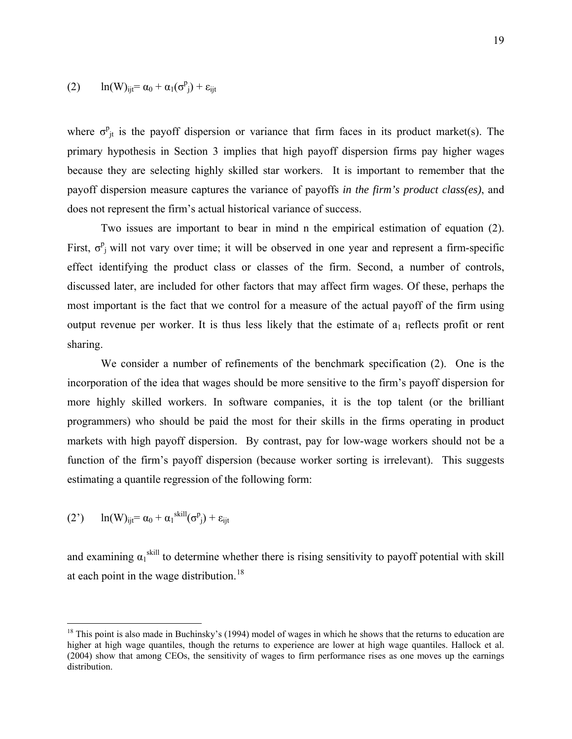<span id="page-18-0"></span>
$$
(2) \qquad ln(W)_{ijt} = \alpha_0 + \alpha_1(\sigma^p_j) + \epsilon_{ijt}
$$

where  $\sigma_{jt}^p$  is the payoff dispersion or variance that firm faces in its product market(s). The primary hypothesis in Section 3 implies that high payoff dispersion firms pay higher wages because they are selecting highly skilled star workers. It is important to remember that the payoff dispersion measure captures the variance of payoffs *in the firm's product class(es)*, and does not represent the firm's actual historical variance of success.

Two issues are important to bear in mind n the empirical estimation of equation (2). First,  $\sigma_{j}^{p}$  will not vary over time; it will be observed in one year and represent a firm-specific effect identifying the product class or classes of the firm. Second, a number of controls, discussed later, are included for other factors that may affect firm wages. Of these, perhaps the most important is the fact that we control for a measure of the actual payoff of the firm using output revenue per worker. It is thus less likely that the estimate of  $a_1$  reflects profit or rent sharing.

We consider a number of refinements of the benchmark specification (2). One is the incorporation of the idea that wages should be more sensitive to the firm's payoff dispersion for more highly skilled workers. In software companies, it is the top talent (or the brilliant programmers) who should be paid the most for their skills in the firms operating in product markets with high payoff dispersion. By contrast, pay for low-wage workers should not be a function of the firm's payoff dispersion (because worker sorting is irrelevant). This suggests estimating a quantile regression of the following form:

(2') 
$$
\ln(W)_{ijt} = \alpha_0 + \alpha_1^{skill}(\sigma^p_j) + \epsilon_{ijt}
$$

 $\overline{a}$ 

and examining  $\alpha_1$ <sup>skill</sup> to determine whether there is rising sensitivity to payoff potential with skill at each point in the wage distribution.<sup>[18](#page-18-0)</sup>

 $18$  This point is also made in Buchinsky's (1994) model of wages in which he shows that the returns to education are higher at high wage quantiles, though the returns to experience are lower at high wage quantiles. Hallock et al. (2004) show that among CEOs, the sensitivity of wages to firm performance rises as one moves up the earnings distribution.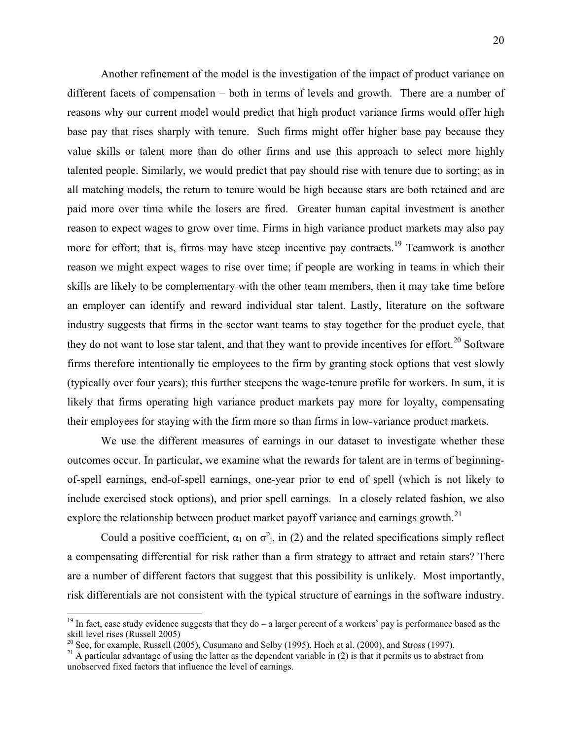<span id="page-19-0"></span>Another refinement of the model is the investigation of the impact of product variance on different facets of compensation – both in terms of levels and growth. There are a number of reasons why our current model would predict that high product variance firms would offer high base pay that rises sharply with tenure. Such firms might offer higher base pay because they value skills or talent more than do other firms and use this approach to select more highly talented people. Similarly, we would predict that pay should rise with tenure due to sorting; as in all matching models, the return to tenure would be high because stars are both retained and are paid more over time while the losers are fired. Greater human capital investment is another reason to expect wages to grow over time. Firms in high variance product markets may also pay more for effort; that is, firms may have steep incentive pay contracts.<sup>[1](#page-19-0)9</sup> Teamwork is another reason we might expect wages to rise over time; if people are working in teams in which their skills are likely to be complementary with the other team members, then it may take time before an employer can identify and reward individual star talent. Lastly, literature on the software industry suggests that firms in the sector want teams to stay together for the product cycle, that they do not want to lose star talent, and that they want to provide incentives for effort.<sup>[20](#page-19-0)</sup> Software firms therefore intentionally tie employees to the firm by granting stock options that vest slowly (typically over four years); this further steepens the wage-tenure profile for workers. In sum, it is likely that firms operating high variance product markets pay more for loyalty, compensating their employees for staying with the firm more so than firms in low-variance product markets.

We use the different measures of earnings in our dataset to investigate whether these outcomes occur. In particular, we examine what the rewards for talent are in terms of beginningof-spell earnings, end-of-spell earnings, one-year prior to end of spell (which is not likely to include exercised stock options), and prior spell earnings. In a closely related fashion, we also explore the relationship between product market payoff variance and earnings growth.<sup>[21](#page-19-0)</sup>

Could a positive coefficient,  $\alpha_1$  on  $\sigma_{j}^p$ , in (2) and the related specifications simply reflect a compensating differential for risk rather than a firm strategy to attract and retain stars? There are a number of different factors that suggest that this possibility is unlikely. Most importantly, risk differentials are not consistent with the typical structure of earnings in the software industry.

1

<sup>&</sup>lt;sup>19</sup> In fact, case study evidence suggests that they do – a larger percent of a workers' pay is performance based as the skill level rises (Russell 2005)<br> $^{20}$  See, for example, Russell (2005), Cusumano and Selby (1995), Hoch et al. (2000), and Stross (1997).

<sup>&</sup>lt;sup>21</sup> A particular advantage of using the latter as the dependent variable in (2) is that it permits us to abstract from unobserved fixed factors that influence the level of earnings.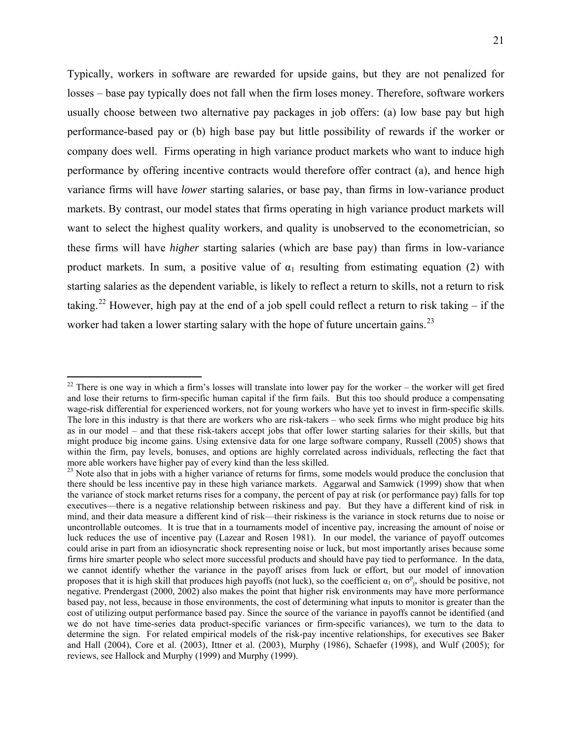<span id="page-20-0"></span>Typically, workers in software are rewarded for upside gains, but they are not penalized for losses – base pay typically does not fall when the firm loses money. Therefore, software workers usually choose between two alternative pay packages in job offers: (a) low base pay but high performance-based pay or (b) high base pay but little possibility of rewards if the worker or company does well. Firms operating in high variance product markets who want to induce high performance by offering incentive contracts would therefore offer contract (a), and hence high variance firms will have *lower* starting salaries, or base pay, than firms in low-variance product markets. By contrast, our model states that firms operating in high variance product markets will want to select the highest quality workers, and quality is unobserved to the econometrician, so these firms will have *higher* starting salaries (which are base pay) than firms in low-variance product markets. In sum, a positive value of  $\alpha_1$  resulting from estimating equation (2) with starting salaries as the dependent variable, is likely to reflect a return to skills, not a return to risk taking.<sup>[22](#page-20-0)</sup> However, high pay at the end of a job spell could reflect a return to risk taking – if the worker had taken a lower starting salary with the hope of future uncertain gains.<sup>[2](#page-20-0)3</sup>

1

 $22$  There is one way in which a firm's losses will translate into lower pay for the worker – the worker will get fired and lose their returns to firm-specific human capital if the firm fails. But this too should produce a compensating wage-risk differential for experienced workers, not for young workers who have yet to invest in firm-specific skills. The lore in this industry is that there are workers who are risk-takers – who seek firms who might produce big hits as in our model – and that these risk-takers accept jobs that offer lower starting salaries for their skills, but that might produce big income gains. Using extensive data for one large software company, Russell (2005) shows that within the firm, pay levels, bonuses, and options are highly correlated across individuals, reflecting the fact that more able workers have higher pay of every kind than the less skilled.

<sup>&</sup>lt;sup>23</sup> Note also that in jobs with a higher variance of returns for firms, some models would produce the conclusion that there should be less incentive pay in these high variance markets. Aggarwal and Samwick (1999) show that when the variance of stock market returns rises for a company, the percent of pay at risk (or performance pay) falls for top executives—there is a negative relationship between riskiness and pay. But they have a different kind of risk in mind, and their data measure a different kind of risk—their riskiness is the variance in stock returns due to noise or uncontrollable outcomes. It is true that in a tournaments model of incentive pay, increasing the amount of noise or luck reduces the use of incentive pay (Lazear and Rosen 1981). In our model, the variance of payoff outcomes could arise in part from an idiosyncratic shock representing noise or luck, but most importantly arises because some firms hire smarter people who select more successful products and should have pay tied to performance. In the data, we cannot identify whether the variance in the payoff arises from luck or effort, but our model of innovation proposes that it is high skill that produces high payoffs (not luck), so the coefficient  $\alpha_1$  on  $\sigma_{j}^p$ , should be positive, not negative. Prendergast (2000, 2002) also makes the point that higher risk environments may have more performance based pay, not less, because in those environments, the cost of determining what inputs to monitor is greater than the cost of utilizing output performance based pay. Since the source of the variance in payoffs cannot be identified (and we do not have time-series data product-specific variances or firm-specific variances), we turn to the data to determine the sign. For related empirical models of the risk-pay incentive relationships, for executives see Baker and Hall (2004), Core et al. (2003), Ittner et al. (2003), Murphy (1986), Schaefer (1998), and Wulf (2005); for reviews, see Hallock and Murphy (1999) and Murphy (1999).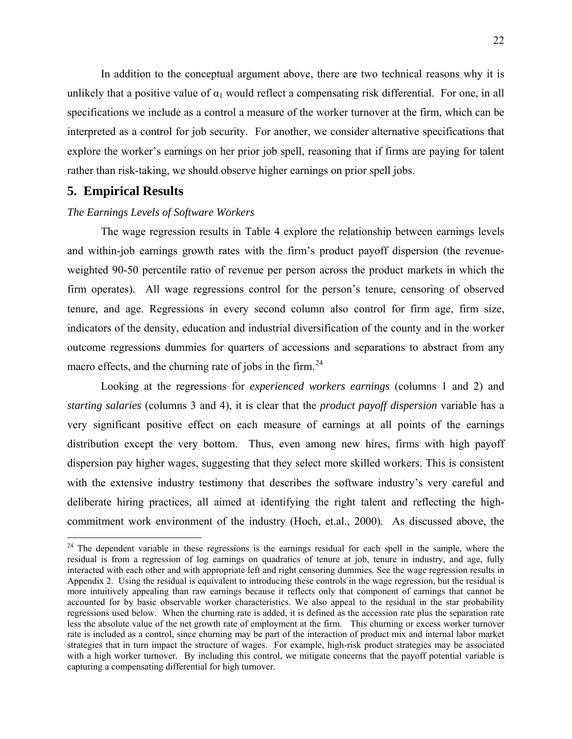<span id="page-21-0"></span>In addition to the conceptual argument above, there are two technical reasons why it is unlikely that a positive value of  $\alpha_1$  would reflect a compensating risk differential. For one, in all specifications we include as a control a measure of the worker turnover at the firm, which can be interpreted as a control for job security. For another, we consider alternative specifications that explore the worker's earnings on her prior job spell, reasoning that if firms are paying for talent rather than risk-taking, we should observe higher earnings on prior spell jobs.

## **5. Empirical Results**

1

### *The Earnings Levels of Software Workers*

The wage regression results in Table 4 explore the relationship between earnings levels and within-job earnings growth rates with the firm's product payoff dispersion (the revenueweighted 90-50 percentile ratio of revenue per person across the product markets in which the firm operates). All wage regressions control for the person's tenure, censoring of observed tenure, and age. Regressions in every second column also control for firm age, firm size, indicators of the density, education and industrial diversification of the county and in the worker outcome regressions dummies for quarters of accessions and separations to abstract from any macro effects, and the churning rate of jobs in the firm.<sup>[24](#page-21-0)</sup>

Looking at the regressions for *experienced workers earnings* (columns 1 and 2) and *starting salaries* (columns 3 and 4), it is clear that the *product payoff dispersion* variable has a very significant positive effect on each measure of earnings at all points of the earnings distribution except the very bottom. Thus, even among new hires, firms with high payoff dispersion pay higher wages, suggesting that they select more skilled workers. This is consistent with the extensive industry testimony that describes the software industry's very careful and deliberate hiring practices, all aimed at identifying the right talent and reflecting the highcommitment work environment of the industry (Hoch, et.al., 2000). As discussed above, the

 $24$  The dependent variable in these regressions is the earnings residual for each spell in the sample, where the residual is from a regression of log earnings on quadratics of tenure at job, tenure in industry, and age, fully interacted with each other and with appropriate left and right censoring dummies. See the wage regression results in Appendix 2. Using the residual is equivalent to introducing these controls in the wage regression, but the residual is more intuitively appealing than raw earnings because it reflects only that component of earnings that cannot be accounted for by basic observable worker characteristics. We also appeal to the residual in the star probability regressions used below. When the churning rate is added, it is defined as the accession rate plus the separation rate less the absolute value of the net growth rate of employment at the firm. This churning or excess worker turnover rate is included as a control, since churning may be part of the interaction of product mix and internal labor market strategies that in turn impact the structure of wages. For example, high-risk product strategies may be associated with a high worker turnover. By including this control, we mitigate concerns that the payoff potential variable is capturing a compensating differential for high turnover.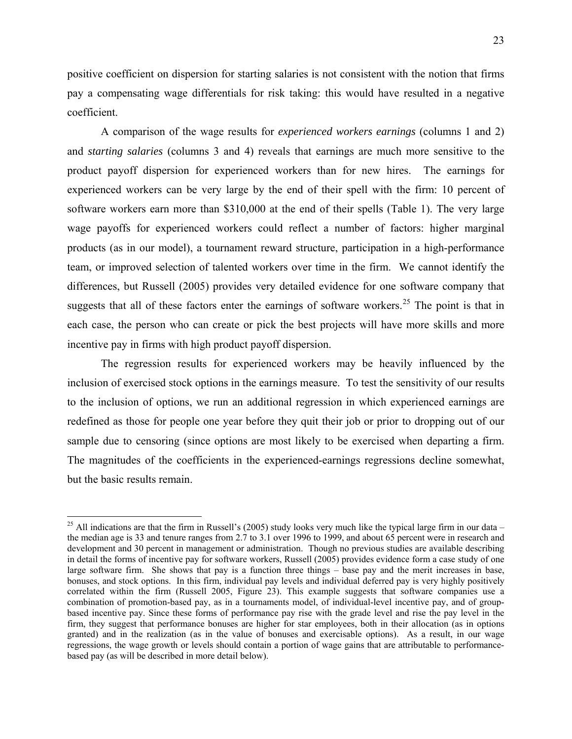<span id="page-22-0"></span>positive coefficient on dispersion for starting salaries is not consistent with the notion that firms pay a compensating wage differentials for risk taking: this would have resulted in a negative coefficient.

A comparison of the wage results for *experienced workers earnings* (columns 1 and 2) and *starting salaries* (columns 3 and 4) reveals that earnings are much more sensitive to the product payoff dispersion for experienced workers than for new hires. The earnings for experienced workers can be very large by the end of their spell with the firm: 10 percent of software workers earn more than \$310,000 at the end of their spells (Table 1). The very large wage payoffs for experienced workers could reflect a number of factors: higher marginal products (as in our model), a tournament reward structure, participation in a high-performance team, or improved selection of talented workers over time in the firm. We cannot identify the differences, but Russell (2005) provides very detailed evidence for one software company that suggests that all of these factors enter the earnings of software workers.<sup>[2](#page-22-0)5</sup> The point is that in each case, the person who can create or pick the best projects will have more skills and more incentive pay in firms with high product payoff dispersion.

The regression results for experienced workers may be heavily influenced by the inclusion of exercised stock options in the earnings measure. To test the sensitivity of our results to the inclusion of options, we run an additional regression in which experienced earnings are redefined as those for people one year before they quit their job or prior to dropping out of our sample due to censoring (since options are most likely to be exercised when departing a firm. The magnitudes of the coefficients in the experienced-earnings regressions decline somewhat, but the basic results remain.

1

 $^{25}$  All indications are that the firm in Russell's (2005) study looks very much like the typical large firm in our data – the median age is 33 and tenure ranges from 2.7 to 3.1 over 1996 to 1999, and about 65 percent were in research and development and 30 percent in management or administration. Though no previous studies are available describing in detail the forms of incentive pay for software workers, Russell (2005) provides evidence form a case study of one large software firm. She shows that pay is a function three things – base pay and the merit increases in base, bonuses, and stock options. In this firm, individual pay levels and individual deferred pay is very highly positively correlated within the firm (Russell 2005, Figure 23). This example suggests that software companies use a combination of promotion-based pay, as in a tournaments model, of individual-level incentive pay, and of groupbased incentive pay. Since these forms of performance pay rise with the grade level and rise the pay level in the firm, they suggest that performance bonuses are higher for star employees, both in their allocation (as in options granted) and in the realization (as in the value of bonuses and exercisable options). As a result, in our wage regressions, the wage growth or levels should contain a portion of wage gains that are attributable to performancebased pay (as will be described in more detail below).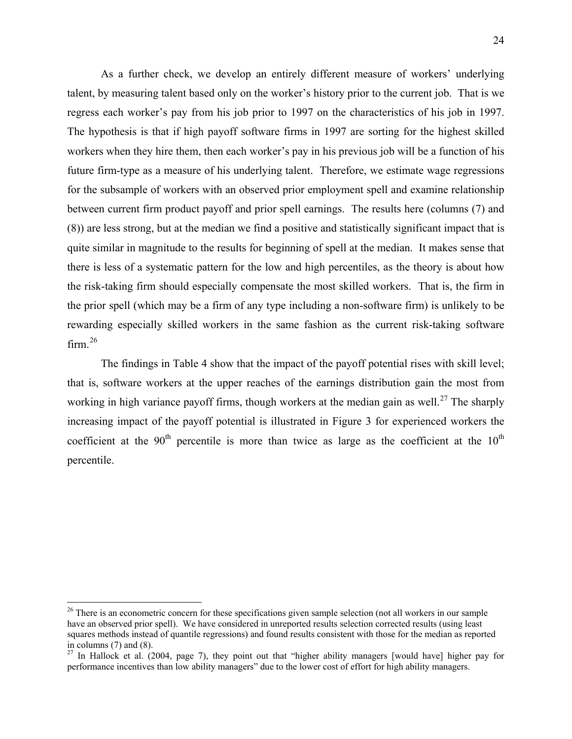<span id="page-23-0"></span>As a further check, we develop an entirely different measure of workers' underlying talent, by measuring talent based only on the worker's history prior to the current job. That is we regress each worker's pay from his job prior to 1997 on the characteristics of his job in 1997. The hypothesis is that if high payoff software firms in 1997 are sorting for the highest skilled workers when they hire them, then each worker's pay in his previous job will be a function of his future firm-type as a measure of his underlying talent. Therefore, we estimate wage regressions for the subsample of workers with an observed prior employment spell and examine relationship between current firm product payoff and prior spell earnings. The results here (columns (7) and (8)) are less strong, but at the median we find a positive and statistically significant impact that is quite similar in magnitude to the results for beginning of spell at the median. It makes sense that there is less of a systematic pattern for the low and high percentiles, as the theory is about how the risk-taking firm should especially compensate the most skilled workers. That is, the firm in the prior spell (which may be a firm of any type including a non-software firm) is unlikely to be rewarding especially skilled workers in the same fashion as the current risk-taking software firm. $26$  $26$ 

The findings in Table 4 show that the impact of the payoff potential rises with skill level; that is, software workers at the upper reaches of the earnings distribution gain the most from working in high variance payoff firms, though workers at the median gain as well.<sup>[2](#page-23-0)7</sup> The sharply increasing impact of the payoff potential is illustrated in Figure 3 for experienced workers the coefficient at the  $90<sup>th</sup>$  percentile is more than twice as large as the coefficient at the  $10<sup>th</sup>$ percentile.

 $\overline{a}$ 

<sup>&</sup>lt;sup>26</sup> There is an econometric concern for these specifications given sample selection (not all workers in our sample have an observed prior spell). We have considered in unreported results selection corrected results (using least squares methods instead of quantile regressions) and found results consistent with those for the median as reported in columns (7) and (8).

<sup>&</sup>lt;sup>27</sup> In Hallock et al. (2004, page 7), they point out that "higher ability managers [would have] higher pay for performance incentives than low ability managers" due to the lower cost of effort for high ability managers.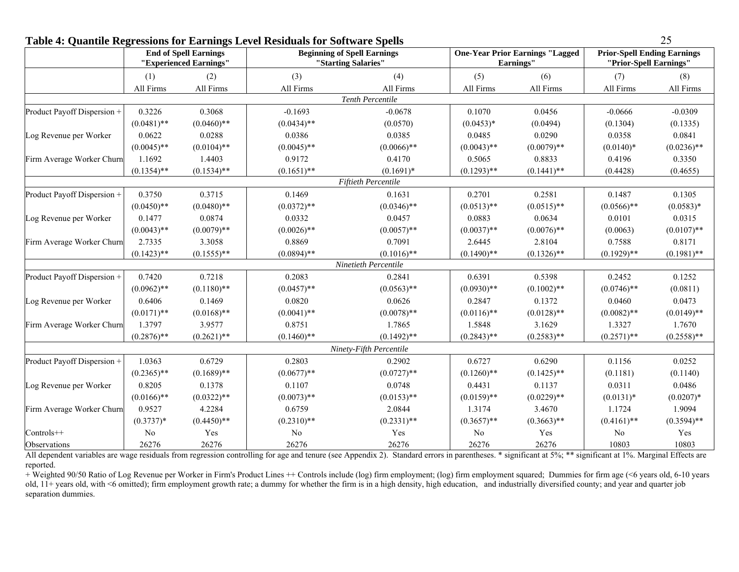| Table 4. Quantiful Inegressions for Earlings Level Incstations for Software Spens | <b>End of Spell Earnings</b><br>"Experienced Earnings" |               | <b>Beginning of Spell Earnings</b><br>"Starting Salaries" |                            |               | <b>One-Year Prior Earnings "Lagged</b><br>Earnings" |                | <b>Prior-Spell Ending Earnings</b><br>"Prior-Spell Earnings" |  |
|-----------------------------------------------------------------------------------|--------------------------------------------------------|---------------|-----------------------------------------------------------|----------------------------|---------------|-----------------------------------------------------|----------------|--------------------------------------------------------------|--|
|                                                                                   | (1)                                                    | (2)           | (3)                                                       | (4)                        | (5)           | (6)                                                 | (7)            | (8)                                                          |  |
|                                                                                   | All Firms                                              | All Firms     | All Firms                                                 | All Firms                  | All Firms     | All Firms                                           | All Firms      | All Firms                                                    |  |
|                                                                                   |                                                        |               |                                                           | Tenth Percentile           |               |                                                     |                |                                                              |  |
| Product Payoff Dispersion +                                                       | 0.3226                                                 | 0.3068        | $-0.1693$                                                 | $-0.0678$                  | 0.1070        | 0.0456                                              | $-0.0666$      | $-0.0309$                                                    |  |
|                                                                                   | $(0.0481)$ **                                          | $(0.0460)$ ** | $(0.0434)$ **                                             | (0.0570)                   | $(0.0453)*$   | (0.0494)                                            | (0.1304)       | (0.1335)                                                     |  |
| Log Revenue per Worker                                                            | 0.0622                                                 | 0.0288        | 0.0386                                                    | 0.0385                     | 0.0485        | 0.0290                                              | 0.0358         | 0.0841                                                       |  |
|                                                                                   | $(0.0045)$ **                                          | $(0.0104)$ ** | $(0.0045)$ **                                             | $(0.0066)$ **              | $(0.0043)$ ** | $(0.0079)$ **                                       | $(0.0140)*$    | $(0.0236)$ **                                                |  |
| Firm Average Worker Churn                                                         | 1.1692                                                 | 1.4403        | 0.9172                                                    | 0.4170                     | 0.5065        | 0.8833                                              | 0.4196         | 0.3350                                                       |  |
|                                                                                   | $(0.1354)$ **                                          | $(0.1534)$ ** | $(0.1651)$ **                                             | $(0.1691)^*$               | $(0.1293)$ ** | $(0.1441)$ **                                       | (0.4428)       | (0.4655)                                                     |  |
|                                                                                   |                                                        |               |                                                           | <b>Fiftieth Percentile</b> |               |                                                     |                |                                                              |  |
| Product Payoff Dispersion +                                                       | 0.3750                                                 | 0.3715        | 0.1469                                                    | 0.1631                     | 0.2701        | 0.2581                                              | 0.1487         | 0.1305                                                       |  |
|                                                                                   | $(0.0450)$ **                                          | $(0.0480)$ ** | $(0.0372)**$                                              | $(0.0346)$ **              | $(0.0513)$ ** | $(0.0515)$ **                                       | $(0.0566)$ **  | $(0.0583)*$                                                  |  |
| Log Revenue per Worker                                                            | 0.1477                                                 | 0.0874        | 0.0332                                                    | 0.0457                     | 0.0883        | 0.0634                                              | 0.0101         | 0.0315                                                       |  |
|                                                                                   | $(0.0043)$ **                                          | $(0.0079)$ ** | $(0.0026)$ **                                             | $(0.0057)$ **              | $(0.0037)$ ** | $(0.0076)$ **                                       | (0.0063)       | $(0.0107)$ **                                                |  |
| Firm Average Worker Churn                                                         | 2.7335                                                 | 3.3058        | 0.8869                                                    | 0.7091                     | 2.6445        | 2.8104                                              | 0.7588         | 0.8171                                                       |  |
|                                                                                   | $(0.1423)$ **                                          | $(0.1555)$ ** | $(0.0894)$ **                                             | $(0.1016)$ **              | $(0.1490)$ ** | $(0.1326)$ **                                       | $(0.1929)$ **  | $(0.1981)$ **                                                |  |
|                                                                                   |                                                        |               |                                                           | Ninetieth Percentile       |               |                                                     |                |                                                              |  |
| Product Payoff Dispersion +                                                       | 0.7420                                                 | 0.7218        | 0.2083                                                    | 0.2841                     | 0.6391        | 0.5398                                              | 0.2452         | 0.1252                                                       |  |
|                                                                                   | $(0.0962)$ **                                          | $(0.1180)$ ** | $(0.0457)$ **                                             | $(0.0563)$ **              | $(0.0930)**$  | $(0.1002)$ **                                       | $(0.0746)$ **  | (0.0811)                                                     |  |
| Log Revenue per Worker                                                            | 0.6406                                                 | 0.1469        | 0.0820                                                    | 0.0626                     | 0.2847        | 0.1372                                              | 0.0460         | 0.0473                                                       |  |
|                                                                                   | $(0.0171)$ **                                          | $(0.0168)$ ** | $(0.0041)$ **                                             | $(0.0078)$ **              | $(0.0116)$ ** | $(0.0128)$ **                                       | $(0.0082)$ **  | $(0.0149)$ **                                                |  |
| Firm Average Worker Churn                                                         | 1.3797                                                 | 3.9577        | 0.8751                                                    | 1.7865                     | 1.5848        | 3.1629                                              | 1.3327         | 1.7670                                                       |  |
|                                                                                   | $(0.2876)$ **                                          | $(0.2621)$ ** | $(0.1460)$ **                                             | $(0.1492)$ **              | $(0.2843)$ ** | $(0.2583)$ **                                       | $(0.2571)$ **  | $(0.2558)$ **                                                |  |
|                                                                                   |                                                        |               |                                                           | Ninety-Fifth Percentile    |               |                                                     |                |                                                              |  |
| Product Payoff Dispersion +                                                       | 1.0363                                                 | 0.6729        | 0.2803                                                    | 0.2902                     | 0.6727        | 0.6290                                              | 0.1156         | 0.0252                                                       |  |
|                                                                                   | $(0.2365)$ **                                          | $(0.1689)$ ** | $(0.0677)$ **                                             | $(0.0727)$ **              | $(0.1260)$ ** | $(0.1425)$ **                                       | (0.1181)       | (0.1140)                                                     |  |
| Log Revenue per Worker                                                            | 0.8205                                                 | 0.1378        | 0.1107                                                    | 0.0748                     | 0.4431        | 0.1137                                              | 0.0311         | 0.0486                                                       |  |
|                                                                                   | $(0.0166)$ **                                          | $(0.0322)**$  | $(0.0073)$ **                                             | $(0.0153)$ **              | $(0.0159)$ ** | $(0.0229)$ **                                       | $(0.0131)*$    | $(0.0207)^*$                                                 |  |
| Firm Average Worker Churn                                                         | 0.9527                                                 | 4.2284        | 0.6759                                                    | 2.0844                     | 1.3174        | 3.4670                                              | 1.1724         | 1.9094                                                       |  |
|                                                                                   | $(0.3737)*$                                            | $(0.4450)$ ** | $(0.2310)**$                                              | $(0.2331)$ **              | $(0.3657)$ ** | $(0.3663)$ **                                       | $(0.4161)$ **  | $(0.3594)$ **                                                |  |
| Controls++                                                                        | No                                                     | Yes           | No                                                        | Yes                        | No            | Yes                                                 | N <sub>0</sub> | Yes                                                          |  |
| Observations                                                                      | 26276                                                  | 26276         | 26276                                                     | 26276                      | 26276         | 26276                                               | 10803          | 10803                                                        |  |

## **Table 4: Quantile Regressions for Earnings Level Residuals for Software Spells** 25

All dependent variables are wage residuals from regression controlling for age and tenure (see Appendix 2). Standard errors in parentheses. \* significant at 5%; \*\* significant at 1%. Marginal Effects are reported.

+ Weighted 90/50 Ratio of Log Revenue per Worker in Firm's Product Lines ++ Controls include (log) firm employment; (log) firm employment squared; Dummies for firm age (<6 years old, 6-10 years old, 11+ years old, with <6 omitted); firm employment growth rate; a dummy for whether the firm is in a high density, high education, and industrially diversified county; and year and quarter job separation dummies.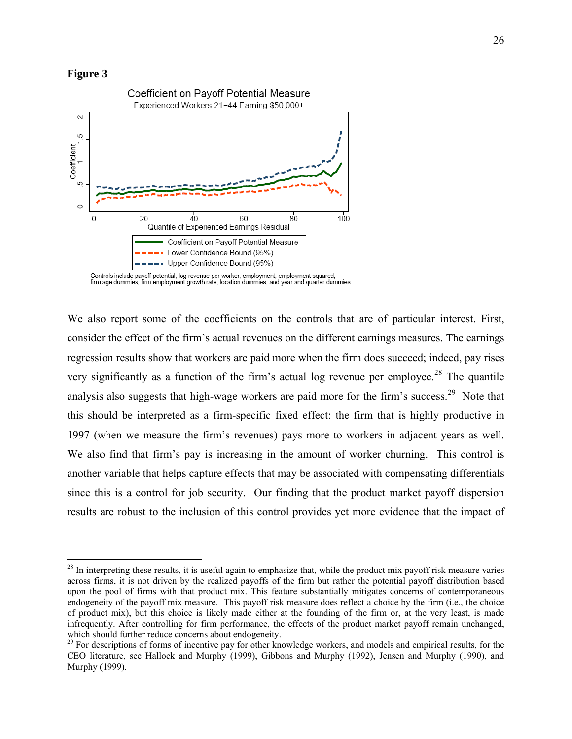#### <span id="page-25-0"></span>**Figure 3**

 $\overline{a}$ 



Controls include payoff potential, log revenue per worker, employment, employment squared,<br>firm age dummies, firm employment growth rate, location dummies, and year and quarter dummies.

We also report some of the coefficients on the controls that are of particular interest. First, consider the effect of the firm's actual revenues on the different earnings measures. The earnings regression results show that workers are paid more when the firm does succeed; indeed, pay rises very significantly as a function of the firm's actual log revenue per employee.<sup>[2](#page-25-0)8</sup> The quantile analysis also suggests that high-wage workers are paid more for the firm's success.<sup>[29](#page-25-0)</sup> Note that this should be interpreted as a firm-specific fixed effect: the firm that is highly productive in 1997 (when we measure the firm's revenues) pays more to workers in adjacent years as well. We also find that firm's pay is increasing in the amount of worker churning. This control is another variable that helps capture effects that may be associated with compensating differentials since this is a control for job security. Our finding that the product market payoff dispersion results are robust to the inclusion of this control provides yet more evidence that the impact of

 $28$  In interpreting these results, it is useful again to emphasize that, while the product mix payoff risk measure varies across firms, it is not driven by the realized payoffs of the firm but rather the potential payoff distribution based upon the pool of firms with that product mix. This feature substantially mitigates concerns of contemporaneous endogeneity of the payoff mix measure. This payoff risk measure does reflect a choice by the firm (i.e., the choice of product mix), but this choice is likely made either at the founding of the firm or, at the very least, is made infrequently. After controlling for firm performance, the effects of the product market payoff remain unchanged, which should further reduce concerns about endogeneity.

<sup>&</sup>lt;sup>29</sup> For descriptions of forms of incentive pay for other knowledge workers, and models and empirical results, for the CEO literature, see Hallock and Murphy (1999), Gibbons and Murphy (1992), Jensen and Murphy (1990), and Murphy (1999).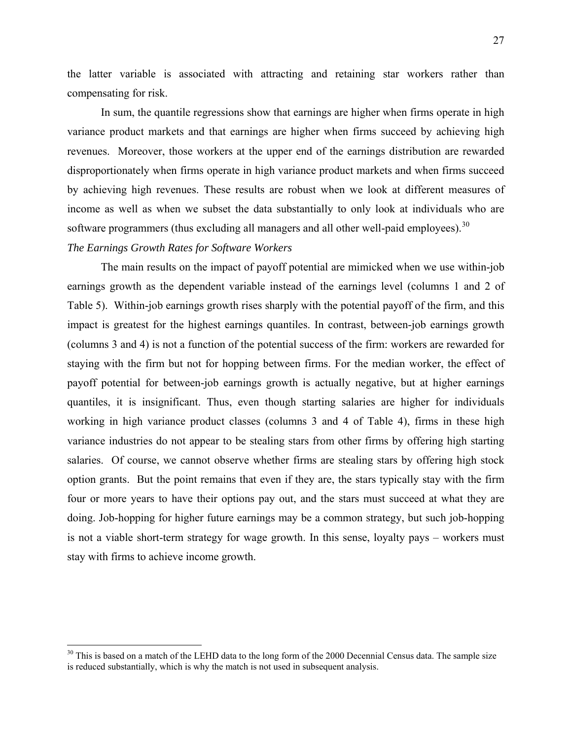<span id="page-26-0"></span>the latter variable is associated with attracting and retaining star workers rather than compensating for risk.

In sum, the quantile regressions show that earnings are higher when firms operate in high variance product markets and that earnings are higher when firms succeed by achieving high revenues. Moreover, those workers at the upper end of the earnings distribution are rewarded disproportionately when firms operate in high variance product markets and when firms succeed by achieving high revenues. These results are robust when we look at different measures of income as well as when we subset the data substantially to only look at individuals who are software programmers (thus excluding all managers and all other well-paid employees).  $30$ 

## *The Earnings Growth Rates for Software Workers*

1

The main results on the impact of payoff potential are mimicked when we use within-job earnings growth as the dependent variable instead of the earnings level (columns 1 and 2 of Table 5). Within-job earnings growth rises sharply with the potential payoff of the firm, and this impact is greatest for the highest earnings quantiles. In contrast, between-job earnings growth (columns 3 and 4) is not a function of the potential success of the firm: workers are rewarded for staying with the firm but not for hopping between firms. For the median worker, the effect of payoff potential for between-job earnings growth is actually negative, but at higher earnings quantiles, it is insignificant. Thus, even though starting salaries are higher for individuals working in high variance product classes (columns 3 and 4 of Table 4), firms in these high variance industries do not appear to be stealing stars from other firms by offering high starting salaries. Of course, we cannot observe whether firms are stealing stars by offering high stock option grants. But the point remains that even if they are, the stars typically stay with the firm four or more years to have their options pay out, and the stars must succeed at what they are doing. Job-hopping for higher future earnings may be a common strategy, but such job-hopping is not a viable short-term strategy for wage growth. In this sense, loyalty pays – workers must stay with firms to achieve income growth.

<sup>&</sup>lt;sup>30</sup> This is based on a match of the LEHD data to the long form of the 2000 Decennial Census data. The sample size is reduced substantially, which is why the match is not used in subsequent analysis.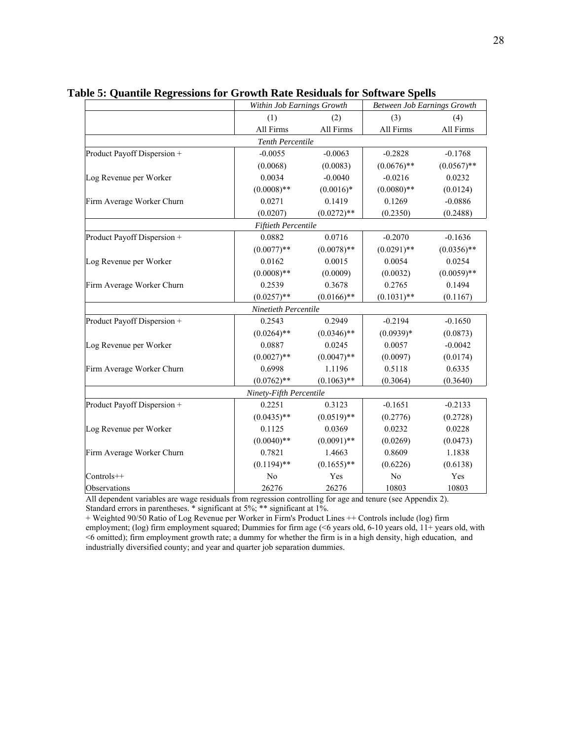|                             |                            | Within Job Earnings Growth |               | <b>Between Job Earnings Growth</b> |
|-----------------------------|----------------------------|----------------------------|---------------|------------------------------------|
|                             | (1)                        | (2)                        | (3)           | (4)                                |
|                             | All Firms                  | All Firms                  | All Firms     | All Firms                          |
|                             | <b>Tenth Percentile</b>    |                            |               |                                    |
| Product Payoff Dispersion + | $-0.0055$                  | $-0.0063$                  | $-0.2828$     | $-0.1768$                          |
|                             | (0.0068)                   | (0.0083)                   | $(0.0676)$ ** | $(0.0567)$ **                      |
| Log Revenue per Worker      | 0.0034                     | $-0.0040$                  | $-0.0216$     | 0.0232                             |
|                             | $(0.0008)$ **              | $(0.0016)*$                | $(0.0080)$ ** | (0.0124)                           |
| Firm Average Worker Churn   | 0.0271                     | 0.1419                     | 0.1269        | $-0.0886$                          |
|                             | (0.0207)                   | $(0.0272)$ **              | (0.2350)      | (0.2488)                           |
|                             | <b>Fiftieth Percentile</b> |                            |               |                                    |
| Product Payoff Dispersion + | 0.0882                     | 0.0716                     | $-0.2070$     | $-0.1636$                          |
|                             | $(0.0077)$ **              | $(0.0078)$ **              | $(0.0291)$ ** | $(0.0356)$ **                      |
| Log Revenue per Worker      | 0.0162                     | 0.0015                     | 0.0054        | 0.0254                             |
|                             | $(0.0008)$ **              | (0.0009)                   | (0.0032)      | $(0.0059)**$                       |
| Firm Average Worker Churn   | 0.2539                     | 0.3678                     | 0.2765        | 0.1494                             |
|                             | $(0.0257)$ **              | $(0.0166)$ **              | $(0.1031)$ ** | (0.1167)                           |
|                             | Ninetieth Percentile       |                            |               |                                    |
| Product Payoff Dispersion + | 0.2543                     | 0.2949                     | $-0.2194$     | $-0.1650$                          |
|                             | $(0.0264)$ **              | $(0.0346)$ **              | $(0.0939)*$   | (0.0873)                           |
| Log Revenue per Worker      | 0.0887                     | 0.0245                     | 0.0057        | $-0.0042$                          |
|                             | $(0.0027)$ **              | $(0.0047)$ **              | (0.0097)      | (0.0174)                           |
| Firm Average Worker Churn   | 0.6998                     | 1.1196                     | 0.5118        | 0.6335                             |
|                             | $(0.0762)$ **              | $(0.1063)$ **              | (0.3064)      | (0.3640)                           |
|                             | Ninety-Fifth Percentile    |                            |               |                                    |
| Product Payoff Dispersion + | 0.2251                     | 0.3123                     | $-0.1651$     | $-0.2133$                          |
|                             | $(0.0435)$ **              | $(0.0519)$ **              | (0.2776)      | (0.2728)                           |
| Log Revenue per Worker      | 0.1125                     | 0.0369                     | 0.0232        | 0.0228                             |
|                             | $(0.0040)$ **              | $(0.0091)$ **              | (0.0269)      | (0.0473)                           |
| Firm Average Worker Churn   | 0.7821                     | 1.4663                     | 0.8609        | 1.1838                             |
|                             | $(0.1194)$ **              | $(0.1655)$ **              | (0.6226)      | (0.6138)                           |
| Controls++                  | No                         | Yes                        | No            | Yes                                |
| Observations                | 26276                      | 26276                      | 10803         | 10803                              |

**Table 5: Quantile Regressions for Growth Rate Residuals for Software Spells** 

All dependent variables are wage residuals from regression controlling for age and tenure (see Appendix 2). Standard errors in parentheses. \* significant at 5%; \*\* significant at 1%.

+ Weighted 90/50 Ratio of Log Revenue per Worker in Firm's Product Lines ++ Controls include (log) firm employment; (log) firm employment squared; Dummies for firm age (<6 years old, 6-10 years old, 11+ years old, with <6 omitted); firm employment growth rate; a dummy for whether the firm is in a high density, high education, and industrially diversified county; and year and quarter job separation dummies.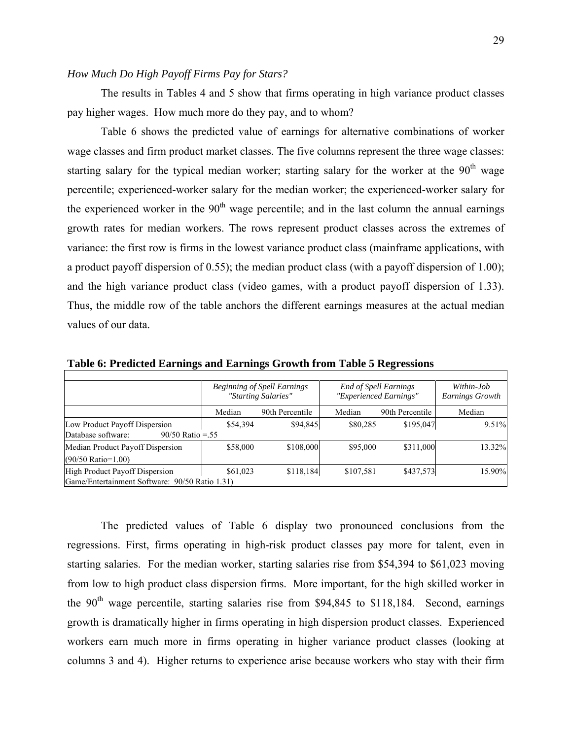## *How Much Do High Payoff Firms Pay for Stars?*

The results in Tables 4 and 5 show that firms operating in high variance product classes pay higher wages. How much more do they pay, and to whom?

Table 6 shows the predicted value of earnings for alternative combinations of worker wage classes and firm product market classes. The five columns represent the three wage classes: starting salary for the typical median worker; starting salary for the worker at the 90<sup>th</sup> wage percentile; experienced-worker salary for the median worker; the experienced-worker salary for the experienced worker in the  $90<sup>th</sup>$  wage percentile; and in the last column the annual earnings growth rates for median workers. The rows represent product classes across the extremes of variance: the first row is firms in the lowest variance product class (mainframe applications, with a product payoff dispersion of 0.55); the median product class (with a payoff dispersion of 1.00); and the high variance product class (video games, with a product payoff dispersion of 1.33). Thus, the middle row of the table anchors the different earnings measures at the actual median values of our data.

|                                                                                  | <b>Beginning of Spell Earnings</b><br>"Starting Salaries" |                 | <b>End of Spell Earnings</b><br>"Experienced Earnings" | Within-Job<br>Earnings Growth |        |
|----------------------------------------------------------------------------------|-----------------------------------------------------------|-----------------|--------------------------------------------------------|-------------------------------|--------|
|                                                                                  | Median                                                    | 90th Percentile | Median                                                 | 90th Percentile               | Median |
| Low Product Payoff Dispersion<br>Database software:<br>$90/50$ Ratio = 55        | \$54,394                                                  | \$94,845        | \$80,285                                               | \$195,047                     | 9.51%  |
| Median Product Payoff Dispersion<br>$(90/50 \text{ Ratio} = 1.00)$               | \$58,000                                                  | \$108,000       | \$95,000                                               | \$311,000                     | 13.32% |
| High Product Payoff Dispersion<br>Game/Entertainment Software: 90/50 Ratio 1.31) | \$61,023                                                  | \$118,184       | \$107,581                                              | \$437,573                     | 15.90% |

**Table 6: Predicted Earnings and Earnings Growth from Table 5 Regressions** 

The predicted values of Table 6 display two pronounced conclusions from the regressions. First, firms operating in high-risk product classes pay more for talent, even in starting salaries. For the median worker, starting salaries rise from \$54,394 to \$61,023 moving from low to high product class dispersion firms. More important, for the high skilled worker in the  $90<sup>th</sup>$  wage percentile, starting salaries rise from \$94,845 to \$118,184. Second, earnings growth is dramatically higher in firms operating in high dispersion product classes. Experienced workers earn much more in firms operating in higher variance product classes (looking at columns 3 and 4). Higher returns to experience arise because workers who stay with their firm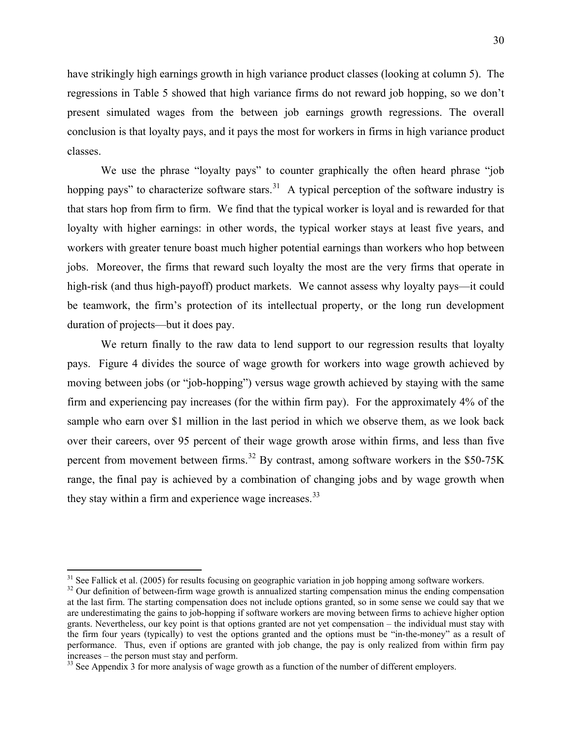<span id="page-29-0"></span>have strikingly high earnings growth in high variance product classes (looking at column 5). The regressions in Table 5 showed that high variance firms do not reward job hopping, so we don't present simulated wages from the between job earnings growth regressions. The overall conclusion is that loyalty pays, and it pays the most for workers in firms in high variance product classes.

We use the phrase "loyalty pays" to counter graphically the often heard phrase "job" hopping pays" to characterize software stars.<sup>[3](#page-29-0)1</sup> A typical perception of the software industry is that stars hop from firm to firm. We find that the typical worker is loyal and is rewarded for that loyalty with higher earnings: in other words, the typical worker stays at least five years, and workers with greater tenure boast much higher potential earnings than workers who hop between jobs. Moreover, the firms that reward such loyalty the most are the very firms that operate in high-risk (and thus high-payoff) product markets. We cannot assess why loyalty pays—it could be teamwork, the firm's protection of its intellectual property, or the long run development duration of projects—but it does pay.

We return finally to the raw data to lend support to our regression results that loyalty pays. Figure 4 divides the source of wage growth for workers into wage growth achieved by moving between jobs (or "job-hopping") versus wage growth achieved by staying with the same firm and experiencing pay increases (for the within firm pay). For the approximately 4% of the sample who earn over \$1 million in the last period in which we observe them, as we look back over their careers, over 95 percent of their wage growth arose within firms, and less than five percent from movement between firms.<sup>[3](#page-29-0)2</sup> By contrast, among software workers in the \$50-75K range, the final pay is achieved by a combination of changing jobs and by wage growth when they stay within a firm and experience wage increases. $33$ 

 $\overline{a}$ 

 $31$  See Fallick et al. (2005) for results focusing on geographic variation in job hopping among software workers.

<sup>&</sup>lt;sup>32</sup> Our definition of between-firm wage growth is annualized starting compensation minus the ending compensation at the last firm. The starting compensation does not include options granted, so in some sense we could say that we are underestimating the gains to job-hopping if software workers are moving between firms to achieve higher option grants. Nevertheless, our key point is that options granted are not yet compensation – the individual must stay with the firm four years (typically) to vest the options granted and the options must be "in-the-money" as a result of performance. Thus, even if options are granted with job change, the pay is only realized from within firm pay increases – the person must stay and perform.

 $33$  See Appendix 3 for more analysis of wage growth as a function of the number of different employers.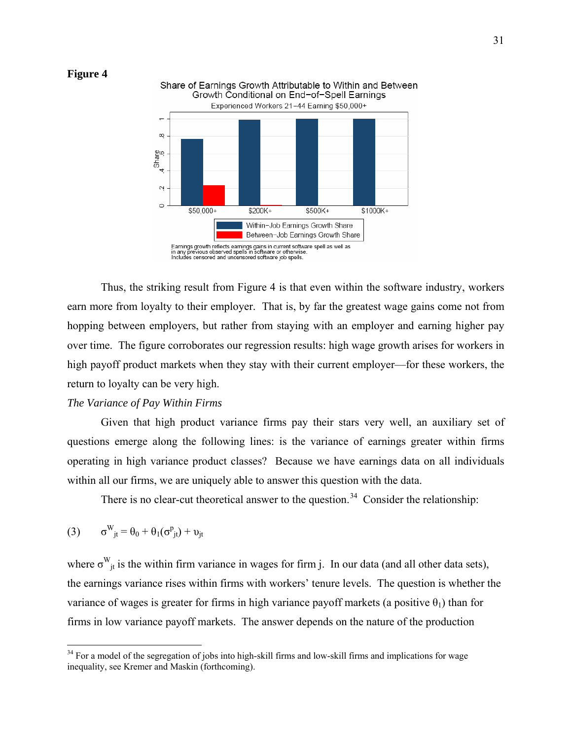<span id="page-30-0"></span>



Thus, the striking result from Figure 4 is that even within the software industry, workers earn more from loyalty to their employer. That is, by far the greatest wage gains come not from hopping between employers, but rather from staying with an employer and earning higher pay over time. The figure corroborates our regression results: high wage growth arises for workers in high payoff product markets when they stay with their current employer—for these workers, the return to loyalty can be very high.

## *The Variance of Pay Within Firms*

Given that high product variance firms pay their stars very well, an auxiliary set of questions emerge along the following lines: is the variance of earnings greater within firms operating in high variance product classes? Because we have earnings data on all individuals within all our firms, we are uniquely able to answer this question with the data.

There is no clear-cut theoretical answer to the question.<sup>[34](#page-30-0)</sup> Consider the relationship:

$$
(3) \qquad \sigma^{W}_{\phantom{M}jt} = \theta_0 + \theta_1(\sigma^p_{\phantom{p}jt}) + \upsilon_{jt}
$$

 $\overline{a}$ 

where  $\sigma_{j}^{W}$  is the within firm variance in wages for firm j. In our data (and all other data sets), the earnings variance rises within firms with workers' tenure levels. The question is whether the variance of wages is greater for firms in high variance payoff markets (a positive  $\theta_1$ ) than for firms in low variance payoff markets. The answer depends on the nature of the production

<sup>&</sup>lt;sup>34</sup> For a model of the segregation of jobs into high-skill firms and low-skill firms and implications for wage inequality, see Kremer and Maskin (forthcoming).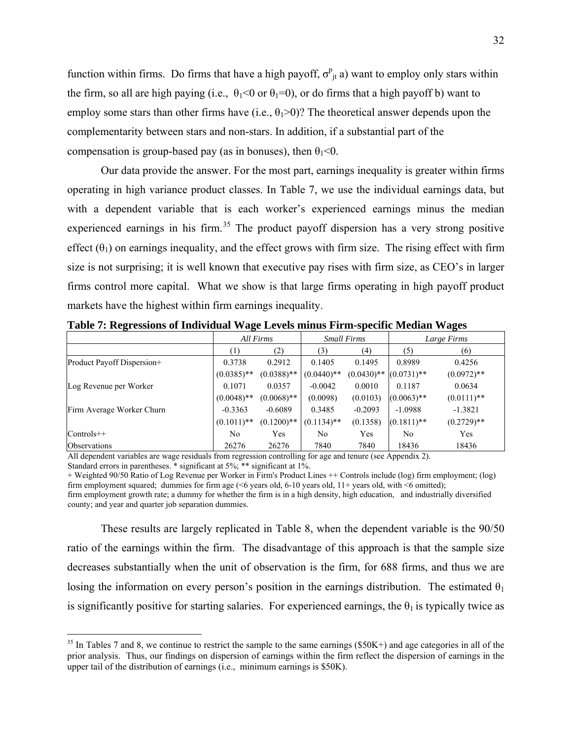<span id="page-31-0"></span>function within firms. Do firms that have a high payoff,  $\sigma_{jt}^p$  a) want to employ only stars within the firm, so all are high paying (i.e.,  $\theta_1 < 0$  or  $\theta_1 = 0$ ), or do firms that a high payoff b) want to employ some stars than other firms have (i.e.,  $\theta_1$ >0)? The theoretical answer depends upon the complementarity between stars and non-stars. In addition, if a substantial part of the compensation is group-based pay (as in bonuses), then  $\theta_1 < 0$ .

Our data provide the answer. For the most part, earnings inequality is greater within firms operating in high variance product classes. In Table 7, we use the individual earnings data, but with a dependent variable that is each worker's experienced earnings minus the median experienced earnings in his firm.<sup>[35](#page-31-0)</sup> The product payoff dispersion has a very strong positive effect  $(\theta_1)$  on earnings inequality, and the effect grows with firm size. The rising effect with firm size is not surprising; it is well known that executive pay rises with firm size, as CEO's in larger firms control more capital. What we show is that large firms operating in high payoff product markets have the highest within firm earnings inequality.

|                            | All Firms      |               | <b>Small Firms</b> |                                                   | Large Firms    |               |
|----------------------------|----------------|---------------|--------------------|---------------------------------------------------|----------------|---------------|
|                            | (1)            | (2)           | (3)                | (4)                                               | (5)            | (6)           |
| Product Payoff Dispersion+ | 0.3738         | 0.2912        | 0.1405             | 0.1495                                            | 0.8989         | 0.4256        |
|                            | $(0.0385)$ **  | $(0.0388)$ ** | $(0.0440)$ **      | $(0.0430)$ <sup>**</sup> $(0.0731)$ <sup>**</sup> |                | $(0.0972)$ ** |
| Log Revenue per Worker     | 0.1071         | 0.0357        | $-0.0042$          | 0.0010                                            | 0.1187         | 0.0634        |
|                            | $(0.0048)$ **  | $(0.0068)$ ** | (0.0098)           | (0.0103)                                          | $(0.0063)$ **  | $(0.0111)$ ** |
| Firm Average Worker Churn  | $-0.3363$      | $-0.6089$     | 0.3485             | $-0.2093$                                         | $-1.0988$      | $-1.3821$     |
|                            | $(0.1011)$ **  | $(0.1200)$ ** | $(0.1134)$ **      | (0.1358)                                          | $(0.1811)$ **  | $(0.2729)$ ** |
| $Controls++$               | N <sub>0</sub> | Yes           | No.                | Yes                                               | N <sub>0</sub> | Yes           |
| Observations               | 26276          | 26276         | 7840               | 7840                                              | 18436          | 18436         |

**Table 7: Regressions of Individual Wage Levels minus Firm-specific Median Wages** 

All dependent variables are wage residuals from regression controlling for age and tenure (see Appendix 2).

Standard errors in parentheses. \* significant at 5%; \*\* significant at 1%.

 $\overline{a}$ 

+ Weighted 90/50 Ratio of Log Revenue per Worker in Firm's Product Lines ++ Controls include (log) firm employment; (log) firm employment squared; dummies for firm age (<6 years old, 6-10 years old,  $11+$  years old, with <6 omitted); firm employment growth rate; a dummy for whether the firm is in a high density, high education, and industrially diversified county; and year and quarter job separation dummies.

These results are largely replicated in Table 8, when the dependent variable is the 90/50 ratio of the earnings within the firm. The disadvantage of this approach is that the sample size decreases substantially when the unit of observation is the firm, for 688 firms, and thus we are losing the information on every person's position in the earnings distribution. The estimated  $\theta_1$ is significantly positive for starting salaries. For experienced earnings, the  $\theta_1$  is typically twice as

 $35$  In Tables 7 and 8, we continue to restrict the sample to the same earnings (\$50K+) and age categories in all of the prior analysis. Thus, our findings on dispersion of earnings within the firm reflect the dispersion of earnings in the upper tail of the distribution of earnings (i.e., minimum earnings is \$50K).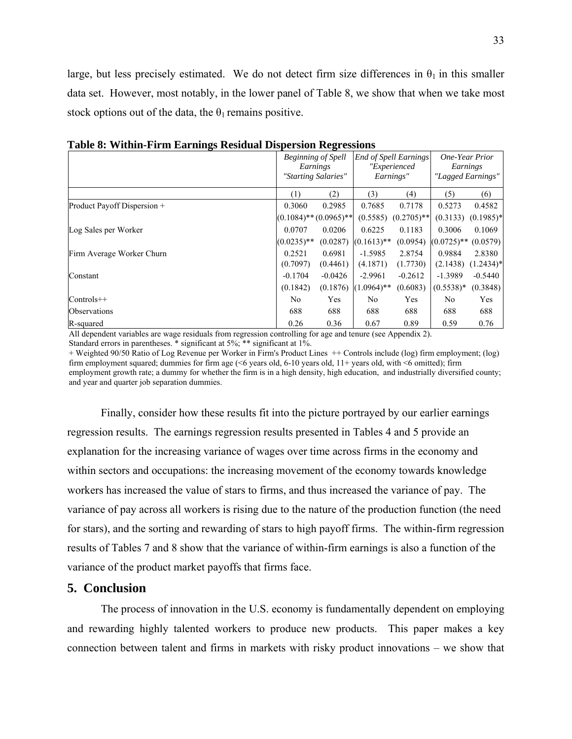large, but less precisely estimated. We do not detect firm size differences in  $\theta_1$  in this smaller data set. However, most notably, in the lower panel of Table 8, we show that when we take most stock options out of the data, the  $\theta_1$  remains positive.

|                             | <b>Beginning of Spell</b><br>Earnings<br>"Starting Salaries" |                             | <b>End of Spell Earnings</b><br>"Experienced<br>Earnings" |               | One-Year Prior<br>Earnings | "Lagged Earnings" |
|-----------------------------|--------------------------------------------------------------|-----------------------------|-----------------------------------------------------------|---------------|----------------------------|-------------------|
|                             | (1)                                                          | (2)                         | (3)                                                       | (4)           | (5)                        | (6)               |
| Product Payoff Dispersion + | 0.3060                                                       | 0.2985                      | 0.7685                                                    | 0.7178        | 0.5273                     | 0.4582            |
|                             |                                                              | $(0.1084)$ ** $(0.0965)$ ** | (0.5585)                                                  | $(0.2705)$ ** | (0.3133)                   | $(0.1985)^*$      |
| Log Sales per Worker        | 0.0707                                                       | 0.0206                      | 0.6225                                                    | 0.1183        | 0.3006                     | 0.1069            |
|                             | $(0.0235)$ **                                                | (0.0287)                    | $(0.1613)$ **                                             | (0.0954)      | $(0.0725)$ **              | (0.0579)          |
| Firm Average Worker Churn   | 0.2521                                                       | 0.6981                      | $-1.5985$                                                 | 2.8754        | 0.9884                     | 2.8380            |
|                             | (0.7097)                                                     | (0.4461)                    | (4.1871)                                                  | (1.7730)      | (2.1438)                   | $(1.2434)^*$      |
| Constant                    | $-0.1704$                                                    | $-0.0426$                   | $-2.9961$                                                 | $-0.2612$     | $-1.3989$                  | $-0.5440$         |
|                             | (0.1842)                                                     | (0.1876)                    | $(1.0964)$ **                                             | (0.6083)      | $(0.5538)*$                | (0.3848)          |
| $Controls++$                | No.                                                          | Yes                         | N <sub>0</sub>                                            | Yes           | N <sub>0</sub>             | Yes               |
| <b>Observations</b>         | 688                                                          | 688                         | 688                                                       | 688           | 688                        | 688               |
| R-squared                   | 0.26                                                         | 0.36                        | 0.67                                                      | 0.89          | 0.59                       | 0.76              |

**Table 8: Within-Firm Earnings Residual Dispersion Regressions** 

All dependent variables are wage residuals from regression controlling for age and tenure (see Appendix 2). Standard errors in parentheses. \* significant at 5%; \*\* significant at 1%.

+ Weighted 90/50 Ratio of Log Revenue per Worker in Firm's Product Lines ++ Controls include (log) firm employment; (log) firm employment squared; dummies for firm age (<6 years old, 6-10 years old, 11+ years old, with <6 omitted); firm employment growth rate; a dummy for whether the firm is in a high density, high education, and industrially diversified county; and year and quarter job separation dummies.

Finally, consider how these results fit into the picture portrayed by our earlier earnings regression results. The earnings regression results presented in Tables 4 and 5 provide an explanation for the increasing variance of wages over time across firms in the economy and within sectors and occupations: the increasing movement of the economy towards knowledge workers has increased the value of stars to firms, and thus increased the variance of pay. The variance of pay across all workers is rising due to the nature of the production function (the need for stars), and the sorting and rewarding of stars to high payoff firms. The within-firm regression results of Tables 7 and 8 show that the variance of within-firm earnings is also a function of the variance of the product market payoffs that firms face.

## **5. Conclusion**

The process of innovation in the U.S. economy is fundamentally dependent on employing and rewarding highly talented workers to produce new products. This paper makes a key connection between talent and firms in markets with risky product innovations – we show that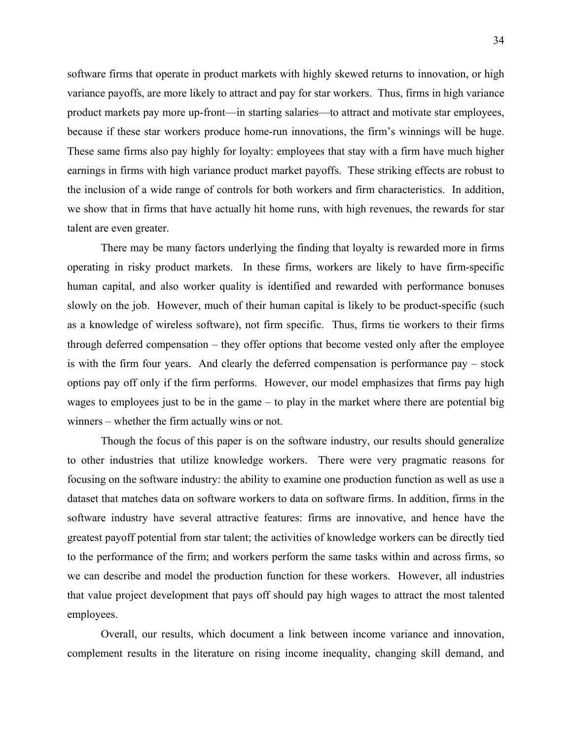software firms that operate in product markets with highly skewed returns to innovation, or high variance payoffs, are more likely to attract and pay for star workers. Thus, firms in high variance product markets pay more up-front—in starting salaries—to attract and motivate star employees, because if these star workers produce home-run innovations, the firm's winnings will be huge. These same firms also pay highly for loyalty: employees that stay with a firm have much higher earnings in firms with high variance product market payoffs. These striking effects are robust to the inclusion of a wide range of controls for both workers and firm characteristics. In addition, we show that in firms that have actually hit home runs, with high revenues, the rewards for star talent are even greater.

There may be many factors underlying the finding that loyalty is rewarded more in firms operating in risky product markets. In these firms, workers are likely to have firm-specific human capital, and also worker quality is identified and rewarded with performance bonuses slowly on the job. However, much of their human capital is likely to be product-specific (such as a knowledge of wireless software), not firm specific. Thus, firms tie workers to their firms through deferred compensation – they offer options that become vested only after the employee is with the firm four years. And clearly the deferred compensation is performance pay – stock options pay off only if the firm performs. However, our model emphasizes that firms pay high wages to employees just to be in the game – to play in the market where there are potential big winners – whether the firm actually wins or not.

Though the focus of this paper is on the software industry, our results should generalize to other industries that utilize knowledge workers. There were very pragmatic reasons for focusing on the software industry: the ability to examine one production function as well as use a dataset that matches data on software workers to data on software firms. In addition, firms in the software industry have several attractive features: firms are innovative, and hence have the greatest payoff potential from star talent; the activities of knowledge workers can be directly tied to the performance of the firm; and workers perform the same tasks within and across firms, so we can describe and model the production function for these workers. However, all industries that value project development that pays off should pay high wages to attract the most talented employees.

Overall, our results, which document a link between income variance and innovation, complement results in the literature on rising income inequality, changing skill demand, and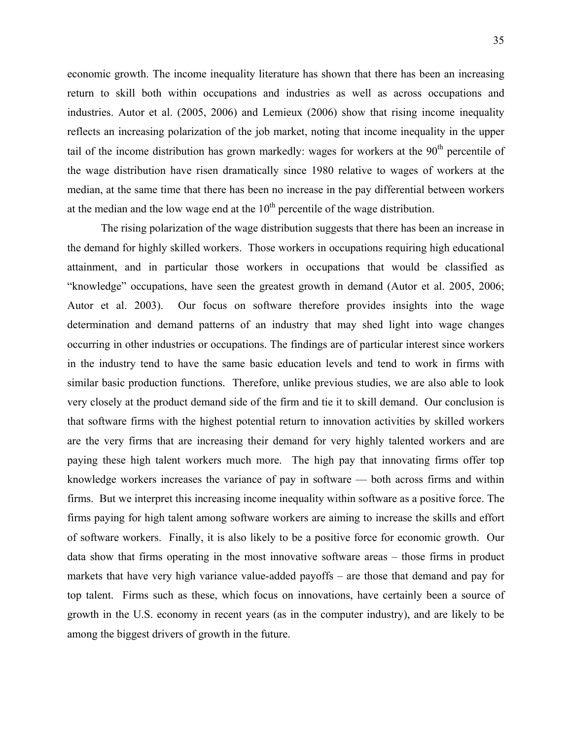economic growth. The income inequality literature has shown that there has been an increasing return to skill both within occupations and industries as well as across occupations and industries. Autor et al. (2005, 2006) and Lemieux (2006) show that rising income inequality reflects an increasing polarization of the job market, noting that income inequality in the upper tail of the income distribution has grown markedly: wages for workers at the  $90<sup>th</sup>$  percentile of the wage distribution have risen dramatically since 1980 relative to wages of workers at the median, at the same time that there has been no increase in the pay differential between workers at the median and the low wage end at the  $10<sup>th</sup>$  percentile of the wage distribution.

The rising polarization of the wage distribution suggests that there has been an increase in the demand for highly skilled workers. Those workers in occupations requiring high educational attainment, and in particular those workers in occupations that would be classified as "knowledge" occupations, have seen the greatest growth in demand (Autor et al. 2005, 2006; Autor et al. 2003). Our focus on software therefore provides insights into the wage determination and demand patterns of an industry that may shed light into wage changes occurring in other industries or occupations. The findings are of particular interest since workers in the industry tend to have the same basic education levels and tend to work in firms with similar basic production functions. Therefore, unlike previous studies, we are also able to look very closely at the product demand side of the firm and tie it to skill demand. Our conclusion is that software firms with the highest potential return to innovation activities by skilled workers are the very firms that are increasing their demand for very highly talented workers and are paying these high talent workers much more. The high pay that innovating firms offer top knowledge workers increases the variance of pay in software — both across firms and within firms. But we interpret this increasing income inequality within software as a positive force. The firms paying for high talent among software workers are aiming to increase the skills and effort of software workers. Finally, it is also likely to be a positive force for economic growth. Our data show that firms operating in the most innovative software areas – those firms in product markets that have very high variance value-added payoffs – are those that demand and pay for top talent. Firms such as these, which focus on innovations, have certainly been a source of growth in the U.S. economy in recent years (as in the computer industry), and are likely to be among the biggest drivers of growth in the future.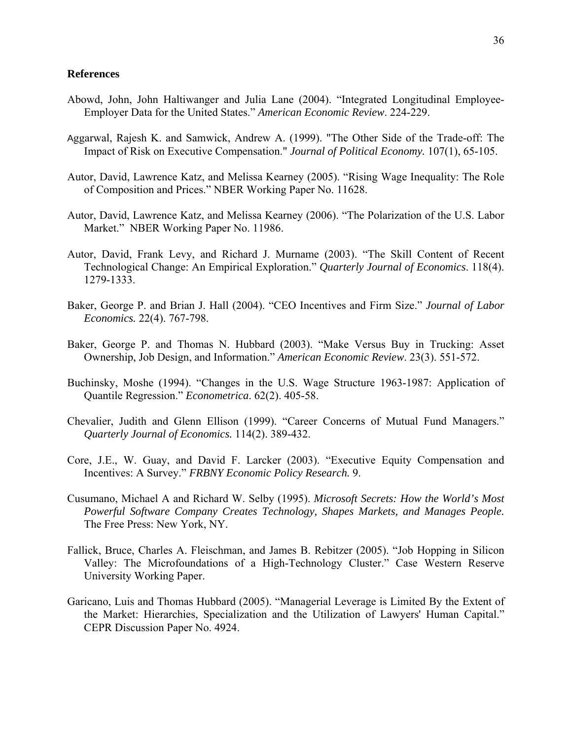#### **References**

- Abowd, John, John Haltiwanger and Julia Lane (2004). "Integrated Longitudinal Employee-Employer Data for the United States." *American Economic Review*. 224-229.
- Aggarwal, Rajesh K. and Samwick, Andrew A. (1999). "The Other Side of the Trade-off: The Impact of Risk on Executive Compensation." *Journal of Political Economy.* 107(1), 65-105.
- Autor, David, Lawrence Katz, and Melissa Kearney (2005). "Rising Wage Inequality: The Role of Composition and Prices." NBER Working Paper No. 11628.
- Autor, David, Lawrence Katz, and Melissa Kearney (2006). "The Polarization of the U.S. Labor Market." NBER Working Paper No. 11986.
- Autor, David, Frank Levy, and Richard J. Murname (2003). "The Skill Content of Recent Technological Change: An Empirical Exploration." *Quarterly Journal of Economics*. 118(4). 1279-1333.
- Baker, George P. and Brian J. Hall (2004). "CEO Incentives and Firm Size." *Journal of Labor Economics.* 22(4). 767-798.
- Baker, George P. and Thomas N. Hubbard (2003). "Make Versus Buy in Trucking: Asset Ownership, Job Design, and Information." *American Economic Review*. 23(3). 551-572.
- Buchinsky, Moshe (1994). "Changes in the U.S. Wage Structure 1963-1987: Application of Quantile Regression." *Econometrica*. 62(2). 405-58.
- Chevalier, Judith and Glenn Ellison (1999). "Career Concerns of Mutual Fund Managers." *Quarterly Journal of Economics.* 114(2). 389-432.
- Core, J.E., W. Guay, and David F. Larcker (2003). "Executive Equity Compensation and Incentives: A Survey." *FRBNY Economic Policy Research.* 9.
- Cusumano, Michael A and Richard W. Selby (1995). *Microsoft Secrets: How the World's Most Powerful Software Company Creates Technology, Shapes Markets, and Manages People.*  The Free Press: New York, NY.
- Fallick, Bruce, Charles A. Fleischman, and James B. Rebitzer (2005). "Job Hopping in Silicon Valley: The Microfoundations of a High-Technology Cluster." Case Western Reserve University Working Paper.
- Garicano, Luis and Thomas Hubbard (2005). "Managerial Leverage is Limited By the Extent of the Market: Hierarchies, Specialization and the Utilization of Lawyers' Human Capital." CEPR Discussion Paper No. 4924.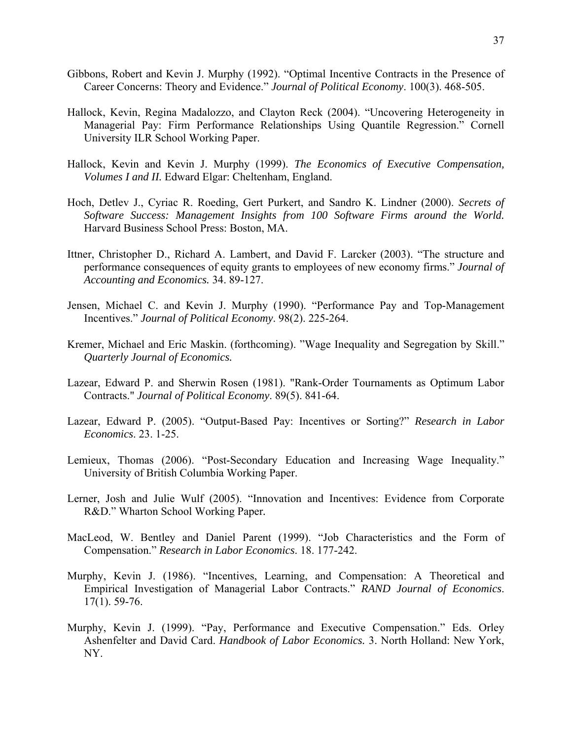- Gibbons, Robert and Kevin J. Murphy (1992). "Optimal Incentive Contracts in the Presence of Career Concerns: Theory and Evidence." *Journal of Political Economy*. 100(3). 468-505.
- Hallock, Kevin, Regina Madalozzo, and Clayton Reck (2004). "Uncovering Heterogeneity in Managerial Pay: Firm Performance Relationships Using Quantile Regression." Cornell University ILR School Working Paper.
- Hallock, Kevin and Kevin J. Murphy (1999). *The Economics of Executive Compensation, Volumes I and II.* Edward Elgar: Cheltenham, England.
- Hoch, Detlev J., Cyriac R. Roeding, Gert Purkert, and Sandro K. Lindner (2000). *Secrets of Software Success: Management Insights from 100 Software Firms around the World.*  Harvard Business School Press: Boston, MA.
- Ittner, Christopher D., Richard A. Lambert, and David F. Larcker (2003). "The structure and performance consequences of equity grants to employees of new economy firms." *Journal of Accounting and Economics.* 34. 89-127.
- Jensen, Michael C. and Kevin J. Murphy (1990). "Performance Pay and Top-Management Incentives." *Journal of Political Economy*. 98(2). 225-264.
- Kremer, Michael and Eric Maskin. (forthcoming). "Wage Inequality and Segregation by Skill." *Quarterly Journal of Economics.*
- Lazear, Edward P. and Sherwin Rosen (1981). "Rank-Order Tournaments as Optimum Labor Contracts." *Journal of Political Economy*. 89(5). 841-64.
- Lazear, Edward P. (2005). "Output-Based Pay: Incentives or Sorting?" *Research in Labor Economics*. 23. 1-25.
- Lemieux, Thomas (2006). "Post-Secondary Education and Increasing Wage Inequality." University of British Columbia Working Paper.
- Lerner, Josh and Julie Wulf (2005). "Innovation and Incentives: Evidence from Corporate R&D." Wharton School Working Paper*.*
- MacLeod, W. Bentley and Daniel Parent (1999). "Job Characteristics and the Form of Compensation." *Research in Labor Economics*. 18. 177-242.
- Murphy, Kevin J. (1986). "Incentives, Learning, and Compensation: A Theoretical and Empirical Investigation of Managerial Labor Contracts." *RAND Journal of Economics*. 17(1). 59-76.
- Murphy, Kevin J. (1999). "Pay, Performance and Executive Compensation." Eds. Orley Ashenfelter and David Card. *Handbook of Labor Economics.* 3. North Holland: New York, NY.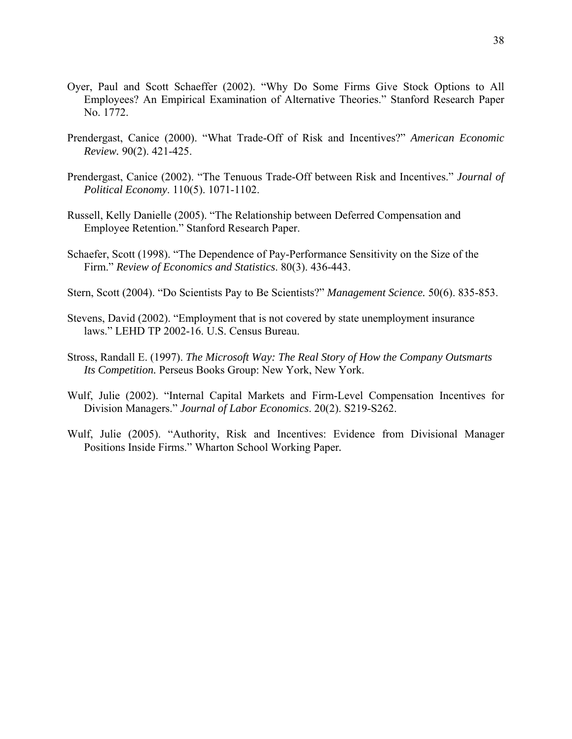- Oyer, Paul and Scott Schaeffer (2002). "Why Do Some Firms Give Stock Options to All Employees? An Empirical Examination of Alternative Theories." Stanford Research Paper No. 1772.
- Prendergast, Canice (2000). "What Trade-Off of Risk and Incentives?" *American Economic Review.* 90(2). 421-425.
- Prendergast, Canice (2002). "The Tenuous Trade-Off between Risk and Incentives." *Journal of Political Economy*. 110(5). 1071-1102.
- Russell, Kelly Danielle (2005). "The Relationship between Deferred Compensation and Employee Retention." Stanford Research Paper.
- Schaefer, Scott (1998). "The Dependence of Pay-Performance Sensitivity on the Size of the Firm." *Review of Economics and Statistics*. 80(3). 436-443.
- Stern, Scott (2004). "Do Scientists Pay to Be Scientists?" *Management Science.* 50(6). 835-853.
- Stevens, David (2002). "Employment that is not covered by state unemployment insurance laws." LEHD TP 2002-16. U.S. Census Bureau.
- Stross, Randall E. (1997). *The Microsoft Way: The Real Story of How the Company Outsmarts Its Competition.* Perseus Books Group: New York, New York.
- Wulf, Julie (2002). "Internal Capital Markets and Firm-Level Compensation Incentives for Division Managers." *Journal of Labor Economics*. 20(2). S219-S262.
- Wulf, Julie (2005). "Authority, Risk and Incentives: Evidence from Divisional Manager Positions Inside Firms." Wharton School Working Paper*.*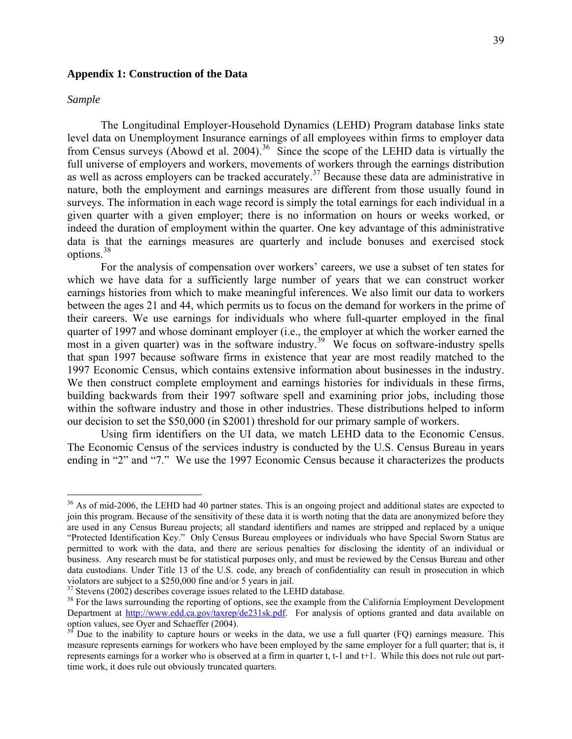## <span id="page-38-0"></span>**Appendix 1: Construction of the Data**

#### *Sample*

 $\overline{a}$ 

The Longitudinal Employer-Household Dynamics (LEHD) Program database links state level data on Unemployment Insurance earnings of all employees within firms to employer data from Census surveys (Abowd et al. 2004).<sup>[36](#page-38-0)</sup> Since the scope of the LEHD data is virtually the full universe of employers and workers, movements of workers through the earnings distribution as well as across employers can be tracked accurately.<sup>[3](#page-38-0)7</sup> Because these data are administrative in nature, both the employment and earnings measures are different from those usually found in surveys. The information in each wage record is simply the total earnings for each individual in a given quarter with a given employer; there is no information on hours or weeks worked, or indeed the duration of employment within the quarter. One key advantage of this administrative data is that the earnings measures are quarterly and include bonuses and exercised stock options.[38](#page-38-0)

 For the analysis of compensation over workers' careers, we use a subset of ten states for which we have data for a sufficiently large number of years that we can construct worker earnings histories from which to make meaningful inferences. We also limit our data to workers between the ages 21 and 44, which permits us to focus on the demand for workers in the prime of their careers. We use earnings for individuals who where full-quarter employed in the final quarter of 1997 and whose dominant employer (i.e., the employer at which the worker earned the most in a given quarter) was in the software industry.<sup>[39](#page-38-0)</sup> We focus on software-industry spells that span 1997 because software firms in existence that year are most readily matched to the 1997 Economic Census, which contains extensive information about businesses in the industry. We then construct complete employment and earnings histories for individuals in these firms, building backwards from their 1997 software spell and examining prior jobs, including those within the software industry and those in other industries. These distributions helped to inform our decision to set the \$50,000 (in \$2001) threshold for our primary sample of workers.

Using firm identifiers on the UI data, we match LEHD data to the Economic Census. The Economic Census of the services industry is conducted by the U.S. Census Bureau in years ending in "2" and "7." We use the 1997 Economic Census because it characterizes the products

 $36$  As of mid-2006, the LEHD had 40 partner states. This is an ongoing project and additional states are expected to join this program. Because of the sensitivity of these data it is worth noting that the data are anonymized before they are used in any Census Bureau projects; all standard identifiers and names are stripped and replaced by a unique "Protected Identification Key." Only Census Bureau employees or individuals who have Special Sworn Status are permitted to work with the data, and there are serious penalties for disclosing the identity of an individual or business. Any research must be for statistical purposes only, and must be reviewed by the Census Bureau and other data custodians. Under Title 13 of the U.S. code, any breach of confidentiality can result in prosecution in which violators are subject to a \$250,000 fine and/or 5 years in jail.

 $37$  Stevens (2002) describes coverage issues related to the LEHD database.

<sup>&</sup>lt;sup>38</sup> For the laws surrounding the reporting of options, see the example from the California Employment Development Department at http://www.edd.ca.gov/taxrep/de231sk.pdf. For analysis of options granted and data available on option values, see Oyer and Schaeffer (2004).

 $39<sup>39</sup>$  Due to the inability to capture hours or weeks in the data, we use a full quarter (FQ) earnings measure. This measure represents earnings for workers who have been employed by the same employer for a full quarter; that is, it represents earnings for a worker who is observed at a firm in quarter t, t-1 and t+1. While this does not rule out parttime work, it does rule out obviously truncated quarters.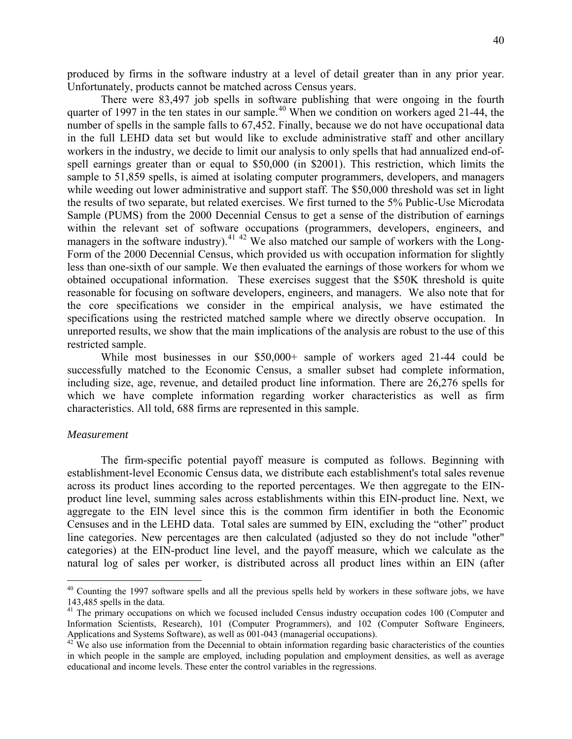<span id="page-39-0"></span>produced by firms in the software industry at a level of detail greater than in any prior year. Unfortunately, products cannot be matched across Census years.

 There were 83,497 job spells in software publishing that were ongoing in the fourth quarter of 1997 in the ten states in our sample.<sup>[4](#page-39-0)0</sup> When we condition on workers aged 21-44, the number of spells in the sample falls to 67,452. Finally, because we do not have occupational data in the full LEHD data set but would like to exclude administrative staff and other ancillary workers in the industry, we decide to limit our analysis to only spells that had annualized end-ofspell earnings greater than or equal to \$50,000 (in \$2001). This restriction, which limits the sample to 51,859 spells, is aimed at isolating computer programmers, developers, and managers while weeding out lower administrative and support staff. The \$50,000 threshold was set in light the results of two separate, but related exercises. We first turned to the 5% Public-Use Microdata Sample (PUMS) from the 2000 Decennial Census to get a sense of the distribution of earnings within the relevant set of software occupations (programmers, developers, engineers, and managers in the software industry).<sup>[4](#page-39-0)1 42</sup> We also matched our sample of workers with the Long-Form of the 2000 Decennial Census, which provided us with occupation information for slightly less than one-sixth of our sample. We then evaluated the earnings of those workers for whom we obtained occupational information. These exercises suggest that the \$50K threshold is quite reasonable for focusing on software developers, engineers, and managers. We also note that for the core specifications we consider in the empirical analysis, we have estimated the specifications using the restricted matched sample where we directly observe occupation. In unreported results, we show that the main implications of the analysis are robust to the use of this restricted sample.

 While most businesses in our \$50,000+ sample of workers aged 21-44 could be successfully matched to the Economic Census, a smaller subset had complete information, including size, age, revenue, and detailed product line information. There are 26,276 spells for which we have complete information regarding worker characteristics as well as firm characteristics. All told, 688 firms are represented in this sample.

#### *Measurement*

 $\overline{a}$ 

The firm-specific potential payoff measure is computed as follows. Beginning with establishment-level Economic Census data, we distribute each establishment's total sales revenue across its product lines according to the reported percentages. We then aggregate to the EINproduct line level, summing sales across establishments within this EIN-product line. Next, we aggregate to the EIN level since this is the common firm identifier in both the Economic Censuses and in the LEHD data. Total sales are summed by EIN, excluding the "other" product line categories. New percentages are then calculated (adjusted so they do not include "other" categories) at the EIN-product line level, and the payoff measure, which we calculate as the natural log of sales per worker, is distributed across all product lines within an EIN (after

 $40$  Counting the 1997 software spells and all the previous spells held by workers in these software jobs, we have 143,485 spells in the data.

<sup>&</sup>lt;sup>41</sup> The primary occupations on which we focused included Census industry occupation codes 100 (Computer and Information Scientists, Research), 101 (Computer Programmers), and 102 (Computer Software Engineers, Applications and Systems Software), as well as 001-043 (managerial occupations).<br><sup>42</sup> We also use information from the Decennial to obtain information regarding basic characteristics of the counties

in which people in the sample are employed, including population and employment densities, as well as average educational and income levels. These enter the control variables in the regressions.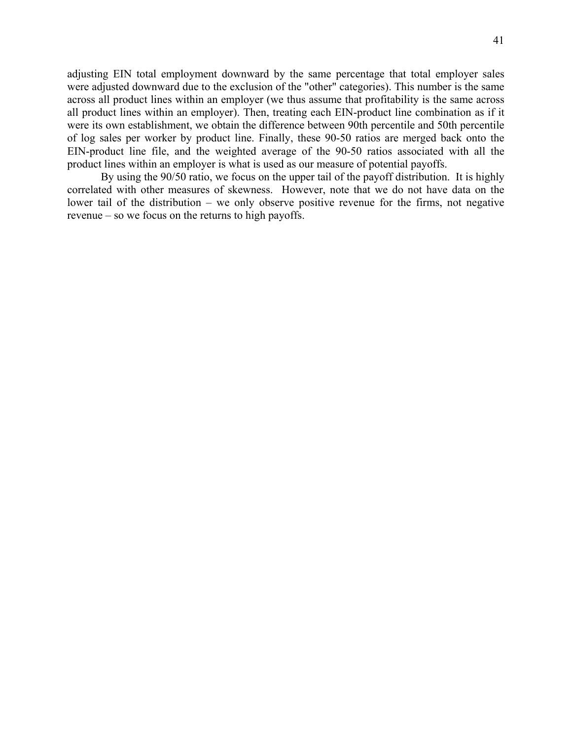adjusting EIN total employment downward by the same percentage that total employer sales were adjusted downward due to the exclusion of the "other" categories). This number is the same across all product lines within an employer (we thus assume that profitability is the same across all product lines within an employer). Then, treating each EIN-product line combination as if it were its own establishment, we obtain the difference between 90th percentile and 50th percentile of log sales per worker by product line. Finally, these 90-50 ratios are merged back onto the EIN-product line file, and the weighted average of the 90-50 ratios associated with all the product lines within an employer is what is used as our measure of potential payoffs.

By using the 90/50 ratio, we focus on the upper tail of the payoff distribution. It is highly correlated with other measures of skewness. However, note that we do not have data on the lower tail of the distribution – we only observe positive revenue for the firms, not negative revenue – so we focus on the returns to high payoffs.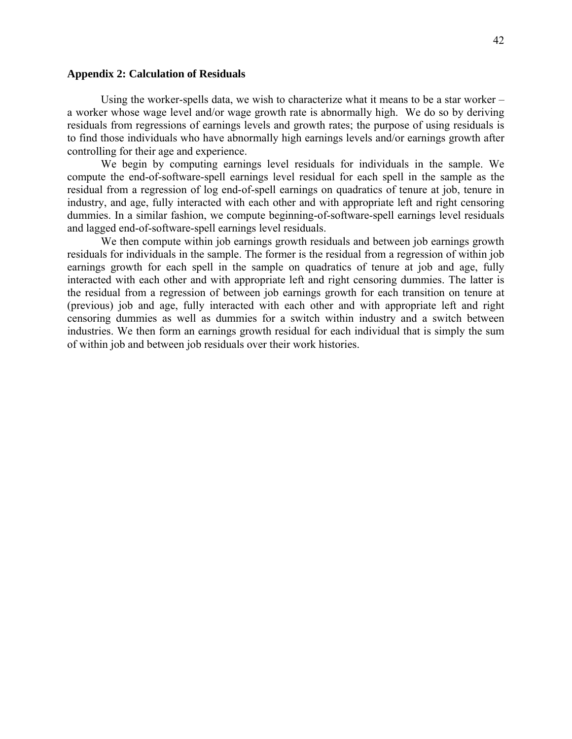#### **Appendix 2: Calculation of Residuals**

Using the worker-spells data, we wish to characterize what it means to be a star worker – a worker whose wage level and/or wage growth rate is abnormally high. We do so by deriving residuals from regressions of earnings levels and growth rates; the purpose of using residuals is to find those individuals who have abnormally high earnings levels and/or earnings growth after controlling for their age and experience.

We begin by computing earnings level residuals for individuals in the sample. We compute the end-of-software-spell earnings level residual for each spell in the sample as the residual from a regression of log end-of-spell earnings on quadratics of tenure at job, tenure in industry, and age, fully interacted with each other and with appropriate left and right censoring dummies. In a similar fashion, we compute beginning-of-software-spell earnings level residuals and lagged end-of-software-spell earnings level residuals.

We then compute within job earnings growth residuals and between job earnings growth residuals for individuals in the sample. The former is the residual from a regression of within job earnings growth for each spell in the sample on quadratics of tenure at job and age, fully interacted with each other and with appropriate left and right censoring dummies. The latter is the residual from a regression of between job earnings growth for each transition on tenure at (previous) job and age, fully interacted with each other and with appropriate left and right censoring dummies as well as dummies for a switch within industry and a switch between industries. We then form an earnings growth residual for each individual that is simply the sum of within job and between job residuals over their work histories.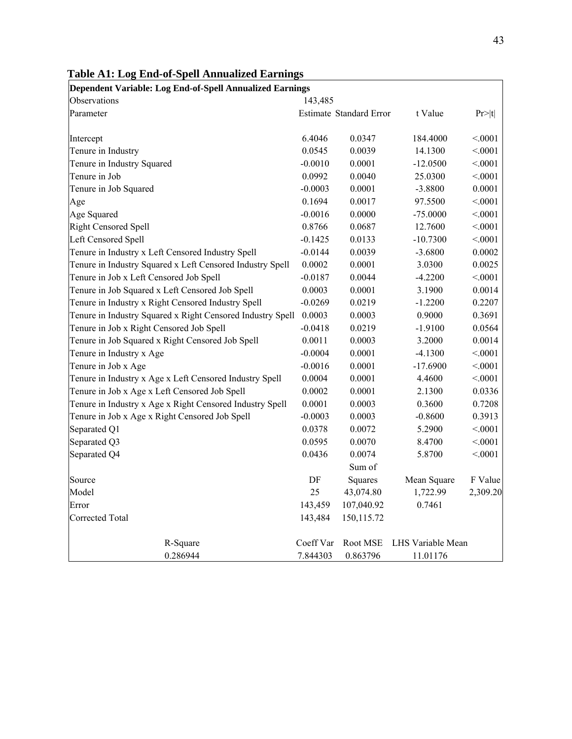| $\frac{1}{2}$<br>Dependent Variable: Log End-of-Spell Annualized Earnings |           |                         |                   |          |
|---------------------------------------------------------------------------|-----------|-------------------------|-------------------|----------|
| Observations                                                              | 143,485   |                         |                   |          |
| Parameter                                                                 |           | Estimate Standard Error | t Value           | Pr> t    |
| Intercept                                                                 | 6.4046    | 0.0347                  | 184.4000          | < 0001   |
| Tenure in Industry                                                        | 0.0545    | 0.0039                  | 14.1300           | < 0001   |
| Tenure in Industry Squared                                                | $-0.0010$ | 0.0001                  | $-12.0500$        | < 0001   |
| Tenure in Job                                                             | 0.0992    | 0.0040                  | 25.0300           | < 0001   |
| Tenure in Job Squared                                                     | $-0.0003$ | 0.0001                  | $-3.8800$         | 0.0001   |
| Age                                                                       | 0.1694    | 0.0017                  | 97.5500           | < 0001   |
| Age Squared                                                               | $-0.0016$ | 0.0000                  | $-75.0000$        | < 0001   |
| <b>Right Censored Spell</b>                                               | 0.8766    | 0.0687                  | 12.7600           | < 0001   |
| <b>Left Censored Spell</b>                                                | $-0.1425$ | 0.0133                  | $-10.7300$        | < .0001  |
| Tenure in Industry x Left Censored Industry Spell                         | $-0.0144$ | 0.0039                  | $-3.6800$         | 0.0002   |
| Tenure in Industry Squared x Left Censored Industry Spell                 | 0.0002    | 0.0001                  | 3.0300            | 0.0025   |
| Tenure in Job x Left Censored Job Spell                                   | $-0.0187$ | 0.0044                  | $-4.2200$         | < 0001   |
| Tenure in Job Squared x Left Censored Job Spell                           | 0.0003    | 0.0001                  | 3.1900            | 0.0014   |
| Tenure in Industry x Right Censored Industry Spell                        | $-0.0269$ | 0.0219                  | $-1.2200$         | 0.2207   |
| Tenure in Industry Squared x Right Censored Industry Spell                | 0.0003    | 0.0003                  | 0.9000            | 0.3691   |
| Tenure in Job x Right Censored Job Spell                                  | $-0.0418$ | 0.0219                  | $-1.9100$         | 0.0564   |
| Tenure in Job Squared x Right Censored Job Spell                          | 0.0011    | 0.0003                  | 3.2000            | 0.0014   |
| Tenure in Industry x Age                                                  | $-0.0004$ | 0.0001                  | $-4.1300$         | < 0001   |
| Tenure in Job x Age                                                       | $-0.0016$ | 0.0001                  | $-17.6900$        | < 0001   |
| Tenure in Industry x Age x Left Censored Industry Spell                   | 0.0004    | 0.0001                  | 4.4600            | < 0001   |
| Tenure in Job x Age x Left Censored Job Spell                             | 0.0002    | 0.0001                  | 2.1300            | 0.0336   |
| Tenure in Industry x Age x Right Censored Industry Spell                  | 0.0001    | 0.0003                  | 0.3600            | 0.7208   |
| Tenure in Job x Age x Right Censored Job Spell                            | $-0.0003$ | 0.0003                  | $-0.8600$         | 0.3913   |
| Separated Q1                                                              | 0.0378    | 0.0072                  | 5.2900            | < 0001   |
| Separated Q3                                                              | 0.0595    | 0.0070                  | 8.4700            | < 0001   |
| Separated Q4                                                              | 0.0436    | 0.0074                  | 5.8700            | < 0001   |
|                                                                           |           | Sum of                  |                   |          |
| Source                                                                    | DF        | Squares                 | Mean Square       | F Value  |
| Model                                                                     | 25        | 43,074.80               | 1,722.99          | 2,309.20 |
| Error                                                                     | 143,459   | 107,040.92              | 0.7461            |          |
| <b>Corrected Total</b>                                                    | 143,484   | 150, 115.72             |                   |          |
| R-Square                                                                  | Coeff Var | Root MSE                | LHS Variable Mean |          |
| 0.286944                                                                  | 7.844303  | 0.863796                | 11.01176          |          |

# **Table A1: Log End-of-Spell Annualized Earnings**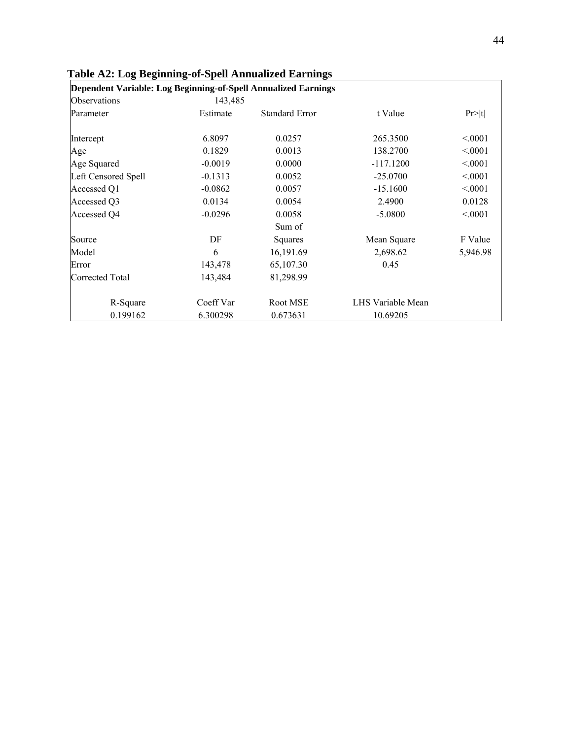| Dependent Variable: Log Beginning-of-Spell Annualized Earnings |           |                       |                   |          |
|----------------------------------------------------------------|-----------|-----------------------|-------------------|----------|
| Observations                                                   | 143,485   |                       |                   |          |
| Parameter                                                      | Estimate  | <b>Standard Error</b> | t Value           | Pr >  t  |
| Intercept                                                      | 6.8097    | 0.0257                | 265.3500          | < 0.001  |
| Age                                                            | 0.1829    | 0.0013                | 138.2700          | < 0.001  |
| Age Squared                                                    | $-0.0019$ | 0.0000                | $-117.1200$       | < 0.001  |
| Left Censored Spell                                            | $-0.1313$ | 0.0052                | $-25.0700$        | < 0.001  |
| Accessed Q1                                                    | $-0.0862$ | 0.0057                | $-15.1600$        | < 0.001  |
| Accessed Q3                                                    | 0.0134    | 0.0054                | 2.4900            | 0.0128   |
| Accessed Q4                                                    | $-0.0296$ | 0.0058                | $-5.0800$         | < 0.001  |
|                                                                |           | Sum of                |                   |          |
| Source                                                         | DF        | Squares               | Mean Square       | F Value  |
| Model                                                          | 6         | 16,191.69             | 2,698.62          | 5,946.98 |
| Error                                                          | 143,478   | 65,107.30             | 0.45              |          |
| <b>Corrected Total</b>                                         | 143,484   | 81,298.99             |                   |          |
| R-Square                                                       | Coeff Var | Root MSE              | LHS Variable Mean |          |
| 0.199162                                                       | 6.300298  | 0.673631              | 10.69205          |          |

## **Table A2: Log Beginning-of-Spell Annualized Earnings**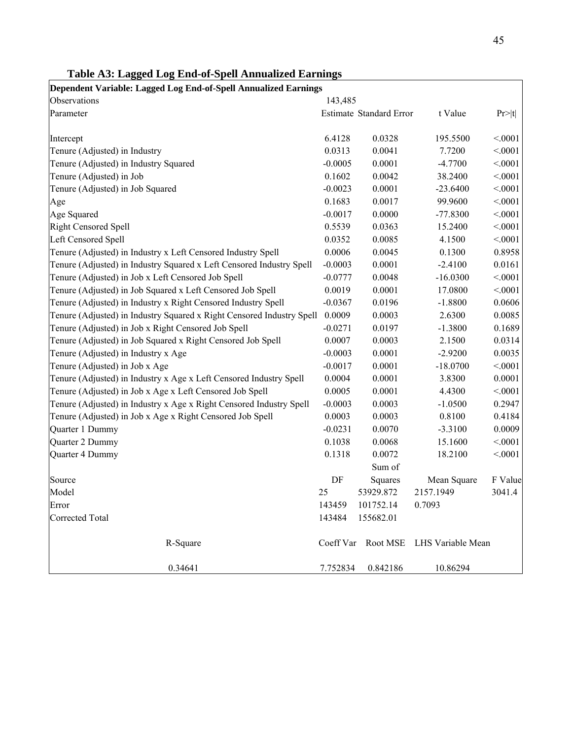| Dependent Variable: Lagged Log End-of-Spell Annualized Earnings       |           |                         |                   |         |
|-----------------------------------------------------------------------|-----------|-------------------------|-------------------|---------|
| Observations                                                          | 143,485   |                         |                   |         |
| Parameter                                                             |           | Estimate Standard Error | t Value           | Pr> t   |
| Intercept                                                             | 6.4128    | 0.0328                  | 195.5500          | < 0001  |
| Tenure (Adjusted) in Industry                                         | 0.0313    | 0.0041                  | 7.7200            | < 0001  |
| Tenure (Adjusted) in Industry Squared                                 | $-0.0005$ | 0.0001                  | $-4.7700$         | < 0001  |
| Tenure (Adjusted) in Job                                              | 0.1602    | 0.0042                  | 38.2400           | < 0001  |
| Tenure (Adjusted) in Job Squared                                      | $-0.0023$ | 0.0001                  | $-23.6400$        | < 0001  |
| Age                                                                   | 0.1683    | 0.0017                  | 99.9600           | < 0001  |
| Age Squared                                                           | $-0.0017$ | 0.0000                  | $-77.8300$        | < 0001  |
| <b>Right Censored Spell</b>                                           | 0.5539    | 0.0363                  | 15.2400           | < 0001  |
| Left Censored Spell                                                   | 0.0352    | 0.0085                  | 4.1500            | < 0001  |
| Tenure (Adjusted) in Industry x Left Censored Industry Spell          | 0.0006    | 0.0045                  | 0.1300            | 0.8958  |
| Tenure (Adjusted) in Industry Squared x Left Censored Industry Spell  | $-0.0003$ | 0.0001                  | $-2.4100$         | 0.0161  |
| Tenure (Adjusted) in Job x Left Censored Job Spell                    | $-0.0777$ | 0.0048                  | $-16.0300$        | < 0001  |
| Tenure (Adjusted) in Job Squared x Left Censored Job Spell            | 0.0019    | 0.0001                  | 17.0800           | < 0001  |
| Tenure (Adjusted) in Industry x Right Censored Industry Spell         | $-0.0367$ | 0.0196                  | $-1.8800$         | 0.0606  |
| Tenure (Adjusted) in Industry Squared x Right Censored Industry Spell | 0.0009    | 0.0003                  | 2.6300            | 0.0085  |
| Tenure (Adjusted) in Job x Right Censored Job Spell                   | $-0.0271$ | 0.0197                  | $-1.3800$         | 0.1689  |
| Tenure (Adjusted) in Job Squared x Right Censored Job Spell           | 0.0007    | 0.0003                  | 2.1500            | 0.0314  |
| Tenure (Adjusted) in Industry x Age                                   | $-0.0003$ | 0.0001                  | $-2.9200$         | 0.0035  |
| Tenure (Adjusted) in Job x Age                                        | $-0.0017$ | 0.0001                  | $-18.0700$        | < 0001  |
| Tenure (Adjusted) in Industry x Age x Left Censored Industry Spell    | 0.0004    | 0.0001                  | 3.8300            | 0.0001  |
| Tenure (Adjusted) in Job x Age x Left Censored Job Spell              | 0.0005    | 0.0001                  | 4.4300            | < 0001  |
| Tenure (Adjusted) in Industry x Age x Right Censored Industry Spell   | $-0.0003$ | 0.0003                  | $-1.0500$         | 0.2947  |
| Tenure (Adjusted) in Job x Age x Right Censored Job Spell             | 0.0003    | 0.0003                  | 0.8100            | 0.4184  |
| Quarter 1 Dummy                                                       | $-0.0231$ | 0.0070                  | $-3.3100$         | 0.0009  |
| Quarter 2 Dummy                                                       | 0.1038    | 0.0068                  | 15.1600           | < .0001 |
| Quarter 4 Dummy                                                       | 0.1318    | 0.0072                  | 18.2100           | < 0.001 |
|                                                                       |           | Sum of                  |                   |         |
| Source                                                                | DF        | Squares                 | Mean Square       | F Value |
| Model                                                                 | 25        | 53929.872               | 2157.1949         | 3041.4  |
| Error                                                                 | 143459    | 101752.14               | 0.7093            |         |
| Corrected Total                                                       | 143484    | 155682.01               |                   |         |
| R-Square                                                              |           | Coeff Var Root MSE      | LHS Variable Mean |         |
| 0.34641                                                               | 7.752834  | 0.842186                | 10.86294          |         |

## **Table A3: Lagged Log End-of-Spell Annualized Earnings**

 $\mathsf{r}$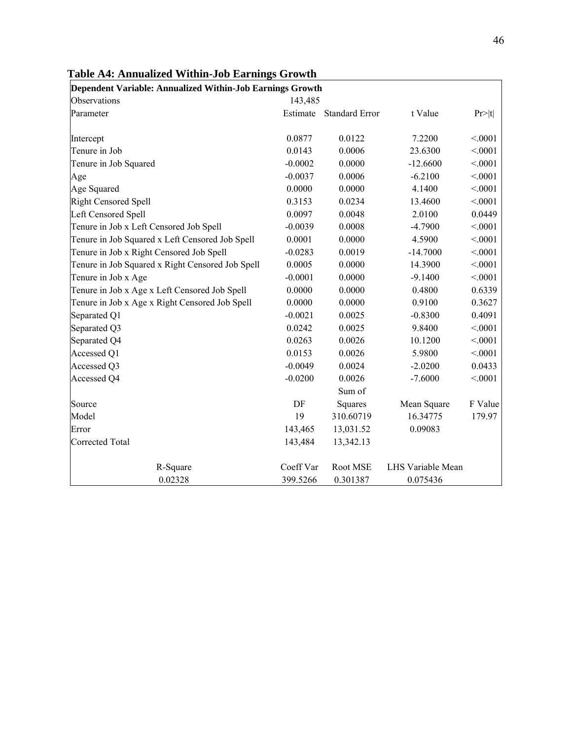| Dependent Variable: Annualized Within-Job Earnings Growth |           |                         |                   |         |
|-----------------------------------------------------------|-----------|-------------------------|-------------------|---------|
| Observations                                              | 143,485   |                         |                   |         |
| Parameter                                                 |           | Estimate Standard Error | t Value           | Pr> t   |
| Intercept                                                 | 0.0877    | 0.0122                  | 7.2200            | < 0001  |
| Tenure in Job                                             | 0.0143    | 0.0006                  | 23.6300           | < 0001  |
| Tenure in Job Squared                                     | $-0.0002$ | 0.0000                  | $-12.6600$        | < 0001  |
| Age                                                       | $-0.0037$ | 0.0006                  | $-6.2100$         | < 0001  |
| Age Squared                                               | 0.0000    | 0.0000                  | 4.1400            | < 0001  |
| <b>Right Censored Spell</b>                               | 0.3153    | 0.0234                  | 13.4600           | < 0001  |
| <b>Left Censored Spell</b>                                | 0.0097    | 0.0048                  | 2.0100            | 0.0449  |
| Tenure in Job x Left Censored Job Spell                   | $-0.0039$ | 0.0008                  | $-4.7900$         | < 0001  |
| Tenure in Job Squared x Left Censored Job Spell           | 0.0001    | 0.0000                  | 4.5900            | < 0001  |
| Tenure in Job x Right Censored Job Spell                  | $-0.0283$ | 0.0019                  | $-14.7000$        | < 0001  |
| Tenure in Job Squared x Right Censored Job Spell          | 0.0005    | 0.0000                  | 14.3900           | < 0001  |
| Tenure in Job x Age                                       | $-0.0001$ | 0.0000                  | $-9.1400$         | < 0001  |
| Tenure in Job x Age x Left Censored Job Spell             | 0.0000    | 0.0000                  | 0.4800            | 0.6339  |
| Tenure in Job x Age x Right Censored Job Spell            | 0.0000    | 0.0000                  | 0.9100            | 0.3627  |
| Separated Q1                                              | $-0.0021$ | 0.0025                  | $-0.8300$         | 0.4091  |
| Separated Q3                                              | 0.0242    | 0.0025                  | 9.8400            | < 0.001 |
| Separated Q4                                              | 0.0263    | 0.0026                  | 10.1200           | < 0001  |
| Accessed Q1                                               | 0.0153    | 0.0026                  | 5.9800            | < .0001 |
| Accessed Q3                                               | $-0.0049$ | 0.0024                  | $-2.0200$         | 0.0433  |
| Accessed Q4                                               | $-0.0200$ | 0.0026                  | $-7.6000$         | < 0001  |
|                                                           |           | Sum of                  |                   |         |
| Source                                                    | DF        | Squares                 | Mean Square       | F Value |
| Model                                                     | 19        | 310.60719               | 16.34775          | 179.97  |
| Error                                                     | 143,465   | 13,031.52               | 0.09083           |         |
| <b>Corrected Total</b>                                    | 143,484   | 13,342.13               |                   |         |
| R-Square                                                  | Coeff Var | Root MSE                | LHS Variable Mean |         |
| 0.02328                                                   | 399.5266  | 0.301387                | 0.075436          |         |

**Table A4: Annualized Within-Job Earnings Growth**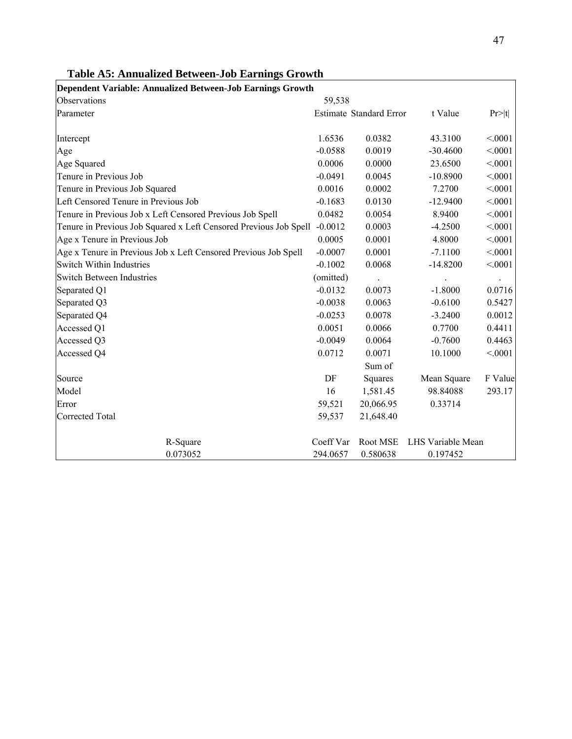| Dependent Variable: Annualized Between-Job Earnings Growth        |           |                                |                   |         |
|-------------------------------------------------------------------|-----------|--------------------------------|-------------------|---------|
| Observations                                                      | 59,538    |                                |                   |         |
| Parameter                                                         |           | <b>Estimate Standard Error</b> | t Value           | Pr> t   |
| Intercept                                                         | 1.6536    | 0.0382                         | 43.3100           | < 0001  |
| Age                                                               | $-0.0588$ | 0.0019                         | $-30.4600$        | < 0001  |
| Age Squared                                                       | 0.0006    | 0.0000                         | 23.6500           | < .0001 |
| Tenure in Previous Job                                            | $-0.0491$ | 0.0045                         | $-10.8900$        | < 0001  |
| Tenure in Previous Job Squared                                    | 0.0016    | 0.0002                         | 7.2700            | < 0001  |
| Left Censored Tenure in Previous Job                              | $-0.1683$ | 0.0130                         | $-12.9400$        | < 0001  |
| Tenure in Previous Job x Left Censored Previous Job Spell         | 0.0482    | 0.0054                         | 8.9400            | < 0001  |
| Tenure in Previous Job Squared x Left Censored Previous Job Spell | $-0.0012$ | 0.0003                         | $-4.2500$         | < 0001  |
| Age x Tenure in Previous Job                                      | 0.0005    | 0.0001                         | 4.8000            | < 0001  |
| Age x Tenure in Previous Job x Left Censored Previous Job Spell   | $-0.0007$ | 0.0001                         | $-7.1100$         | < .0001 |
| Switch Within Industries                                          | $-0.1002$ | 0.0068                         | $-14.8200$        | < 0001  |
| <b>Switch Between Industries</b>                                  | (omitted) |                                |                   |         |
| Separated Q1                                                      | $-0.0132$ | 0.0073                         | $-1.8000$         | 0.0716  |
| Separated Q3                                                      | $-0.0038$ | 0.0063                         | $-0.6100$         | 0.5427  |
| Separated Q4                                                      | $-0.0253$ | 0.0078                         | $-3.2400$         | 0.0012  |
| Accessed Q1                                                       | 0.0051    | 0.0066                         | 0.7700            | 0.4411  |
| Accessed Q3                                                       | $-0.0049$ | 0.0064                         | $-0.7600$         | 0.4463  |
| Accessed Q4                                                       | 0.0712    | 0.0071                         | 10.1000           | < 0001  |
|                                                                   |           | Sum of                         |                   |         |
| Source                                                            | DF        | Squares                        | Mean Square       | F Value |
| Model                                                             | 16        | 1,581.45                       | 98.84088          | 293.17  |
| Error                                                             | 59,521    | 20,066.95                      | 0.33714           |         |
| Corrected Total                                                   | 59,537    | 21,648.40                      |                   |         |
| R-Square                                                          | Coeff Var | Root MSE                       | LHS Variable Mean |         |
| 0.073052                                                          | 294.0657  | 0.580638                       | 0.197452          |         |

## **Table A5: Annualized Between-Job Earnings Growth**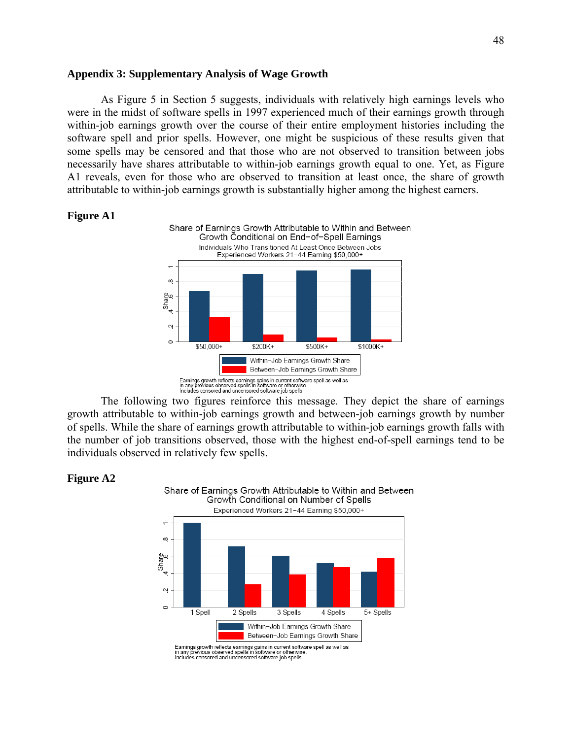#### **Appendix 3: Supplementary Analysis of Wage Growth**

 As Figure 5 in Section 5 suggests, individuals with relatively high earnings levels who were in the midst of software spells in 1997 experienced much of their earnings growth through within-job earnings growth over the course of their entire employment histories including the software spell and prior spells. However, one might be suspicious of these results given that some spells may be censored and that those who are not observed to transition between jobs necessarily have shares attributable to within-job earnings growth equal to one. Yet, as Figure A1 reveals, even for those who are observed to transition at least once, the share of growth attributable to within-job earnings growth is substantially higher among the highest earners.





growth attributable to within-job earnings growth and between-job earnings growth by number of spells. While the share of earnings growth attributable to within-job earnings growth falls with the number of job transitions observed, those with the highest end-of-spell earnings tend to be individuals observed in relatively few spells.

Share of Earnings Growth Attributable to Within and Between

#### **Figure A2**



Earnings growth reflects earnings gains in current software spell as well as<br>in any previous observed spells in software or otherwise.<br>Includes censored and uncensored software job spells.